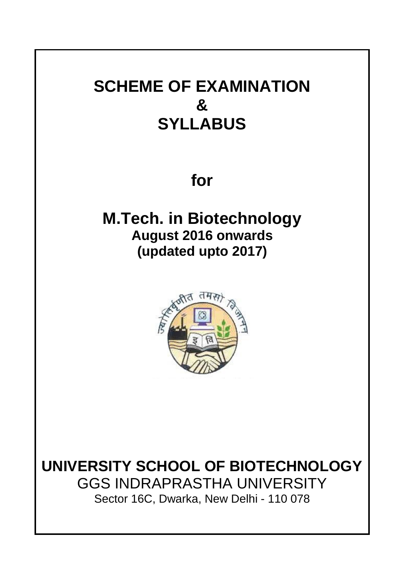# **SCHEME OF EXAMINATION & SYLLABUS**

**for**

**M.Tech. in Biotechnology August 2016 onwards (updated upto 2017)**



**UNIVERSITY SCHOOL OF BIOTECHNOLOGY** GGS INDRAPRASTHA UNIVERSITY Sector 16C, Dwarka, New Delhi - 110 078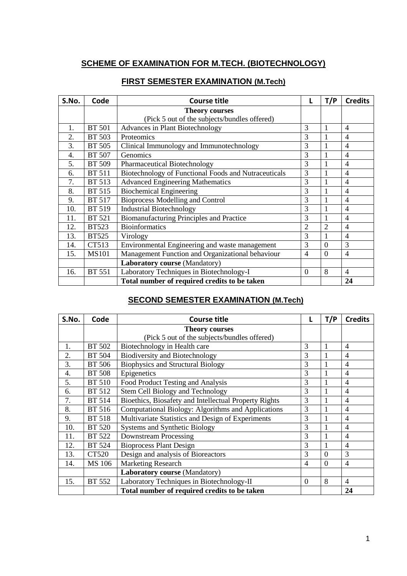# **SCHEME OF EXAMINATION FOR M.TECH. (BIOTECHNOLOGY)**

| S.No. | Code          | <b>Course title</b>                                  | L              | T/P            | <b>Credits</b> |
|-------|---------------|------------------------------------------------------|----------------|----------------|----------------|
|       |               | <b>Theory courses</b>                                |                |                |                |
|       |               | (Pick 5 out of the subjects/bundles offered)         |                |                |                |
| 1.    | <b>BT 501</b> | Advances in Plant Biotechnology                      | 3              | 1              | 4              |
| 2.    | <b>BT 503</b> | Proteomics                                           | 3              |                | $\overline{4}$ |
| 3.    | <b>BT 505</b> | Clinical Immunology and Immunotechnology             | 3              |                | 4              |
| 4.    | <b>BT 507</b> | Genomics                                             | 3              |                | $\overline{4}$ |
| 5.    | BT 509        | Pharmaceutical Biotechnology                         | 3              |                | 4              |
| 6.    | <b>BT 511</b> | Biotechnology of Functional Foods and Nutraceuticals | 3              |                | $\overline{4}$ |
| 7.    | <b>BT 513</b> | <b>Advanced Engineering Mathematics</b>              | 3              |                | 4              |
| 8.    | <b>BT 515</b> | <b>Biochemical Engineering</b>                       | 3              |                | 4              |
| 9.    | <b>BT 517</b> | <b>Bioprocess Modelling and Control</b>              | 3              |                | $\overline{4}$ |
| 10.   | <b>BT 519</b> | <b>Industrial Biotechnology</b>                      | 3              |                | $\overline{4}$ |
| 11.   | <b>BT 521</b> | Biomanufacturing Principles and Practice             | 3              |                | $\overline{4}$ |
| 12.   | <b>BT523</b>  | <b>Bioinformatics</b>                                | $\overline{c}$ | $\overline{c}$ | 4              |
| 13.   | <b>BT525</b>  | Virology                                             | 3              |                | 4              |
| 14.   | CT513         | Environmental Engineering and waste management       | 3              | $\Omega$       | 3              |
| 15.   | <b>MS101</b>  | Management Function and Organizational behaviour     | $\overline{4}$ | $\overline{0}$ | $\overline{4}$ |
|       |               | Laboratory course (Mandatory)                        |                |                |                |
| 16.   | <b>BT 551</b> | Laboratory Techniques in Biotechnology-I             | $\mathbf{0}$   | 8              | $\overline{4}$ |
|       |               | Total number of required credits to be taken         |                |                | 24             |

# **FIRST SEMESTER EXAMINATION (M.Tech)**

# **SECOND SEMESTER EXAMINATION (M.Tech)**

| S.No. | Code          | <b>Course title</b>                                   | L              | T/P            | <b>Credits</b> |
|-------|---------------|-------------------------------------------------------|----------------|----------------|----------------|
|       |               | <b>Theory courses</b>                                 |                |                |                |
|       |               | (Pick 5 out of the subjects/bundles offered)          |                |                |                |
| 1.    | BT 502        | Biotechnology in Health care                          | 3              |                | 4              |
| 2.    | BT 504        | <b>Biodiversity and Biotechnology</b>                 | 3              |                | 4              |
| 3.    | <b>BT 506</b> | <b>Biophysics and Structural Biology</b>              | 3              |                | $\overline{4}$ |
| 4.    | <b>BT 508</b> | Epigenetics                                           | 3              |                | $\overline{4}$ |
| 5.    | BT 510        | Food Product Testing and Analysis                     | 3              |                | $\overline{4}$ |
| 6.    | <b>BT 512</b> | Stem Cell Biology and Technology                      | 3              |                | 4              |
| 7.    | BT 514        | Bioethics, Biosafety and Intellectual Property Rights | 3              |                | 4              |
| 8.    | BT 516        | Computational Biology: Algorithms and Applications    | 3              |                | $\overline{4}$ |
| 9.    | <b>BT 518</b> | Multivariate Statistics and Design of Experiments     | 3              |                | $\overline{4}$ |
| 10.   | <b>BT 520</b> | Systems and Synthetic Biology                         | 3              |                | $\overline{4}$ |
| 11.   | BT 522        | <b>Downstream Processing</b>                          | 3              |                | $\overline{4}$ |
| 12.   | <b>BT 524</b> | <b>Bioprocess Plant Design</b>                        | 3              |                | $\overline{4}$ |
| 13.   | CT520         | Design and analysis of Bioreactors                    | 3              | $\overline{0}$ | 3              |
| 14.   | MS 106        | <b>Marketing Research</b>                             | $\overline{4}$ | $\overline{0}$ | $\overline{4}$ |
|       |               | Laboratory course (Mandatory)                         |                |                |                |
| 15.   | BT 552        | Laboratory Techniques in Biotechnology-II             | $\overline{0}$ | 8              | 4              |
|       |               | Total number of required credits to be taken          |                |                | 24             |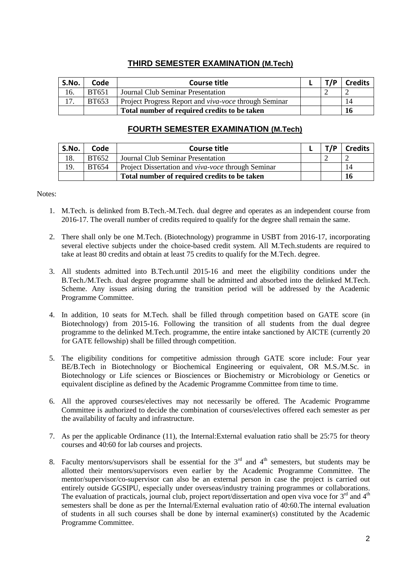# **THIRD SEMESTER EXAMINATION (M.Tech)**

| S.No. | Code         | <b>Course title</b>                                          | T/D | <b>Credits</b> |
|-------|--------------|--------------------------------------------------------------|-----|----------------|
| 16.   | <b>BT651</b> | Journal Club Seminar Presentation                            |     |                |
| 17.   | <b>BT653</b> | Project Progress Report and <i>viva-voce</i> through Seminar |     | $\mathbf{14}$  |
|       |              | Total number of required credits to be taken                 |     | 16             |

# **FOURTH SEMESTER EXAMINATION (M.Tech)**

| S.No. | Code         | <b>Course title</b>                                | T/D | <b>Credits</b> |
|-------|--------------|----------------------------------------------------|-----|----------------|
| 18.   | <b>BT652</b> | Journal Club Seminar Presentation                  |     |                |
| 19.   | <b>BT654</b> | Project Dissertation and viva-voce through Seminar |     | 14             |
|       |              | Total number of required credits to be taken       |     | 16             |

#### Notes:

- 1. M.Tech. is delinked from B.Tech.-M.Tech. dual degree and operates as an independent course from 2016-17. The overall number of credits required to qualify for the degree shall remain the same.
- 2. There shall only be one M.Tech. (Biotechnology) programme in USBT from 2016-17, incorporating several elective subjects under the choice-based credit system. All M.Tech.students are required to take at least 80 credits and obtain at least 75 credits to qualify for the M.Tech. degree.
- 3. All students admitted into B.Tech.until 2015-16 and meet the eligibility conditions under the B.Tech./M.Tech. dual degree programme shall be admitted and absorbed into the delinked M.Tech. Scheme. Any issues arising during the transition period will be addressed by the Academic Programme Committee.
- 4. In addition, 10 seats for M.Tech. shall be filled through competition based on GATE score (in Biotechnology) from 2015-16. Following the transition of all students from the dual degree programme to the delinked M.Tech. programme, the entire intake sanctioned by AICTE (currently 20 for GATE fellowship) shall be filled through competition.
- 5. The eligibility conditions for competitive admission through GATE score include: Four year BE/B.Tech in Biotechnology or Biochemical Engineering or equivalent, OR M.S./M.Sc. in Biotechnology or Life sciences or Biosciences or Biochemistry or Microbiology or Genetics or equivalent discipline as defined by the Academic Programme Committee from time to time.
- 6. All the approved courses/electives may not necessarily be offered. The Academic Programme Committee is authorized to decide the combination of courses/electives offered each semester as per the availability of faculty and infrastructure.
- 7. As per the applicable Ordinance (11), the Internal:External evaluation ratio shall be 25:75 for theory courses and 40:60 for lab courses and projects.
- 8. Faculty mentors/supervisors shall be essential for the  $3<sup>rd</sup>$  and  $4<sup>th</sup>$  semesters, but students may be allotted their mentors/supervisors even earlier by the Academic Programme Committee. The mentor/supervisor/co-supervisor can also be an external person in case the project is carried out entirely outside GGSIPU, especially under overseas/industry training programmes or collaborations. The evaluation of practicals, journal club, project report/dissertation and open viva voce for  $3<sup>rd</sup>$  and  $4<sup>th</sup>$ semesters shall be done as per the Internal/External evaluation ratio of 40:60.The internal evaluation of students in all such courses shall be done by internal examiner(s) constituted by the Academic Programme Committee.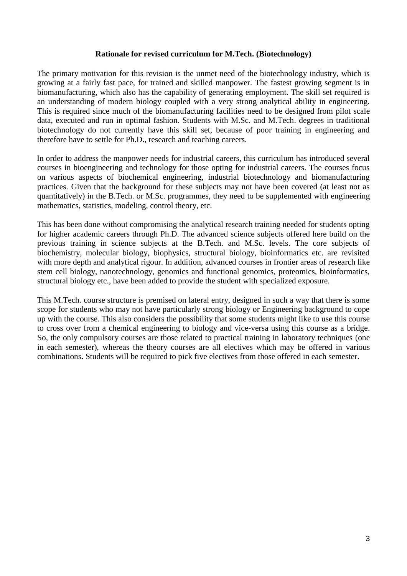# **Rationale for revised curriculum for M.Tech. (Biotechnology)**

The primary motivation for this revision is the unmet need of the biotechnology industry, which is growing at a fairly fast pace, for trained and skilled manpower. The fastest growing segment is in biomanufacturing, which also has the capability of generating employment. The skill set required is an understanding of modern biology coupled with a very strong analytical ability in engineering. This is required since much of the biomanufacturing facilities need to be designed from pilot scale data, executed and run in optimal fashion. Students with M.Sc. and M.Tech. degrees in traditional biotechnology do not currently have this skill set, because of poor training in engineering and therefore have to settle for Ph.D., research and teaching careers.

In order to address the manpower needs for industrial careers, this curriculum has introduced several courses in bioengineering and technology for those opting for industrial careers. The courses focus on various aspects of biochemical engineering, industrial biotechnology and biomanufacturing practices. Given that the background for these subjects may not have been covered (at least not as quantitatively) in the B.Tech. or M.Sc. programmes, they need to be supplemented with engineering mathematics, statistics, modeling, control theory, etc.

This has been done without compromising the analytical research training needed for students opting for higher academic careers through Ph.D. The advanced science subjects offered here build on the previous training in science subjects at the B.Tech. and M.Sc. levels. The core subjects of biochemistry, molecular biology, biophysics, structural biology, bioinformatics etc. are revisited with more depth and analytical rigour. In addition, advanced courses in frontier areas of research like stem cell biology, nanotechnology, genomics and functional genomics, proteomics, bioinformatics, structural biology etc., have been added to provide the student with specialized exposure.

This M.Tech. course structure is premised on lateral entry, designed in such a way that there is some scope for students who may not have particularly strong biology or Engineering background to cope up with the course. This also considers the possibility that some students might like to use this course to cross over from a chemical engineering to biology and vice-versa using this course as a bridge. So, the only compulsory courses are those related to practical training in laboratory techniques (one in each semester), whereas the theory courses are all electives which may be offered in various combinations. Students will be required to pick five electives from those offered in each semester.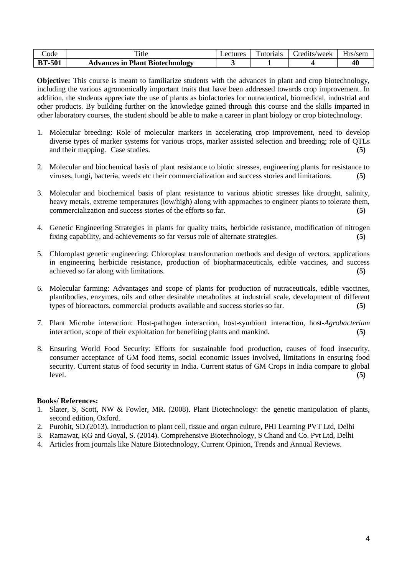| code          | 1tle                                   | <i>_ectures</i> | —<br>Futorials | redits/week_ | Hrs/sem |
|---------------|----------------------------------------|-----------------|----------------|--------------|---------|
| <b>BT-501</b> | <b>Advances in Plant Biotechnology</b> |                 |                |              | 40      |

**Objective:** This course is meant to familiarize students with the advances in plant and crop biotechnology, including the various agronomically important traits that have been addressed towards crop improvement. In addition, the students appreciate the use of plants as biofactories for nutraceutical, biomedical, industrial and other products. By building further on the knowledge gained through this course and the skills imparted in other laboratory courses, the student should be able to make a career in plant biology or crop biotechnology.

- 1. Molecular breeding: Role of molecular markers in accelerating crop improvement, need to develop diverse types of marker systems for various crops, marker assisted selection and breeding; role of QTLs and their mapping. Case studies. **(5)**
- 2. Molecular and biochemical basis of plant resistance to biotic stresses, engineering plants for resistance to viruses, fungi, bacteria, weeds etc their commercialization and success stories and limitations. **(5)**
- 3. Molecular and biochemical basis of plant resistance to various abiotic stresses like drought, salinity, heavy metals, extreme temperatures (low/high) along with approaches to engineer plants to tolerate them, commercialization and success stories of the efforts so far. **(5)**
- 4. Genetic Engineering Strategies in plants for quality traits, herbicide resistance, modification of nitrogen fixing capability, and achievements so far versus role of alternate strategies. **(5)**
- 5. Chloroplast genetic engineering: Chloroplast transformation methods and design of vectors, applications in engineering herbicide resistance, production of biopharmaceuticals, edible vaccines, and success achieved so far along with limitations. **(5)**
- 6. Molecular farming: Advantages and scope of plants for production of nutraceuticals, edible vaccines, plantibodies, enzymes, oils and other desirable metabolites at industrial scale, development of different types of bioreactors, commercial products available and success stories so far. **(5)**
- 7. Plant Microbe interaction: Host-pathogen interaction, host-symbiont interaction, host-*Agrobacterium*  interaction, scope of their exploitation for benefiting plants and mankind. **(5)**
- 8. Ensuring World Food Security: Efforts for sustainable food production, causes of food insecurity, consumer acceptance of GM food items, social economic issues involved, limitations in ensuring food security. Current status of food security in India. Current status of GM Crops in India compare to global level. **(5)**

- 1. Slater, S, Scott, NW & Fowler, MR. (2008). Plant Biotechnology: the genetic manipulation of plants, second edition, Oxford.
- 2. Purohit, SD.(2013). Introduction to plant cell, tissue and organ culture, PHI Learning PVT Ltd, Delhi
- 3. Ramawat, KG and Goyal, S. (2014). Comprehensive Biotechnology, S Chand and Co. Pvt Ltd, Delhi
- 4. Articles from journals like Nature Biotechnology, Current Opinion, Trends and Annual Reviews.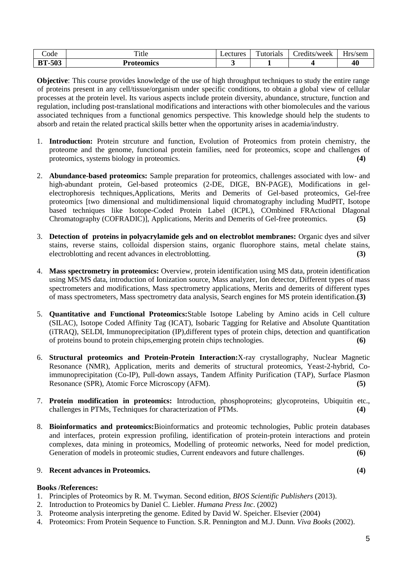| code             | mar a<br>1UC | ectures | $\mathbf{r}$<br>utorials | redits/week_ | $-$<br>Hr <sup>c</sup><br>/sem |
|------------------|--------------|---------|--------------------------|--------------|--------------------------------|
| -503<br>DТ<br>DІ | Proteomics   |         |                          |              | 40                             |

**Objective**: This course provides knowledge of the use of high throughput techniques to study the entire range of proteins present in any cell/tissue/organism under specific conditions, to obtain a global view of cellular processes at the protein level. Its various aspects include protein diversity, abundance, structure, function and regulation, including post-translational modifications and interactions with other biomolecules and the various associated techniques from a functional genomics perspective. This knowledge should help the students to absorb and retain the related practical skills better when the opportunity arises in academia/industry.

- 1. **Introduction:** Protein strcuture and function, Evolution of Proteomics from protein chemistry, the proteome and the genome, functional protein families, need for proteomics, scope and challenges of proteomics, systems biology in proteomics. **(4)**
- 2. **Abundance-based proteomics:** Sample preparation for proteomics, challenges associated with low- and high-abundant protein, Gel-based proteomics (2-DE, DIGE, BN-PAGE), Modifications in gelelectrophoresis techniques,Applications, Merits and Demerits of Gel-based proteomics, Gel-free proteomics [two dimensional and multidimensional liquid chromatography including MudPIT, Isotope based techniques like Isotope-Coded Protein Label (ICPL), COmbined FRActional DIagonal Chromatography (COFRADIC)], Applications, Merits and Demerits of Gel-free proteomics. **(5)**
- 3. **Detection of proteins in polyacrylamide gels and on electroblot membranes:** Organic dyes and silver stains, reverse stains, colloidal dispersion stains, organic fluorophore stains, metal chelate stains, electroblotting and recent advances in electroblotting. **(3)**
- 4. **Mass spectrometry in proteomics:** Overview, protein identification using MS data, protein identification using MS/MS data, introduction of Ionization source, Mass analyzer, Ion detector, Different types of mass spectrometers and modifications, Mass spectrometry applications, Merits and demerits of different types of mass spectrometers, Mass spectrometry data analysis, Search engines for MS protein identification.**(3)**
- 5. **Quantitative and Functional Proteomics:**Stable Isotope Labeling by Amino acids in Cell culture (SILAC), Isotope Coded Affinity Tag (ICAT), Isobaric Tagging for Relative and Absolute Quantitation (iTRAQ), SELDI, Immunoprecipitation (IP),different types of protein chips, detection and quantification of proteins bound to protein chips,emerging protein chips technologies. **(6)**
- 6. **Structural proteomics and Protein-Protein Interaction:**X-ray crystallography, Nuclear Magnetic Resonance (NMR), Application, merits and demerits of structural proteomics, Yeast-2-hybrid, Coimmunoprecipitation (Co-IP), Pull-down assays, Tandem Affinity Purification (TAP), Surface Plasmon Resonance (SPR), Atomic Force Microscopy (AFM). **(5)**
- 7. **Protein modification in proteomics:** Introduction, phosphoproteins; glycoproteins, Ubiquitin etc., challenges in PTMs, Techniques for characterization of PTMs. **(4)**
- 8. **Bioinformatics and proteomics:**Bioinformatics and proteomic technologies, Public protein databases and interfaces, protein expression profiling, identification of protein-protein interactions and protein complexes, data mining in proteomics, Modelling of proteomic networks, Need for model prediction, Generation of models in proteomic studies, Current endeavors and future challenges. **(6)**

#### 9. **Recent advances in Proteomics. (4)**

- 1. Principles of Proteomics by R. M. Twyman. Second edition, *BIOS Scientific Publishers* (2013).
- 2. Introduction to Proteomics by Daniel C. Liebler. *Humana Press Inc*. (2002)
- 3. Proteome analysis interpreting the genome. Edited by David W. Speicher. Elsevier (2004)
- 4. Proteomics: From Protein Sequence to Function. S.R. Pennington and M.J. Dunn. *Viva Books* (2002).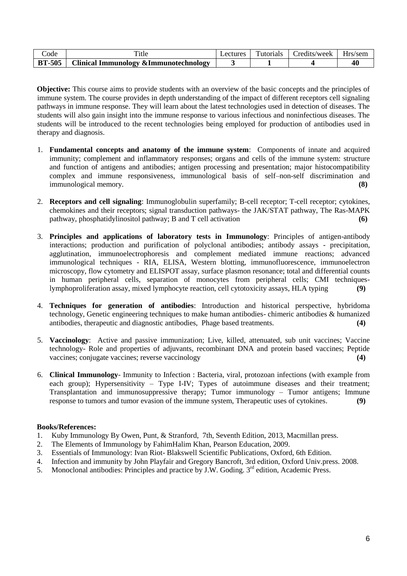| `ode          | 1tle                                     | `utorials | redits/week_ | Hrs/sem. |
|---------------|------------------------------------------|-----------|--------------|----------|
| <b>BT-505</b> | J Clinical Immunology & Immunotechnology |           |              |          |

**Objective:** This course aims to provide students with an overview of the basic concepts and the principles of immune system. The course provides in depth understanding of the impact of different receptors cell signaling pathways in immune response. They will learn about the latest technologies used in detection of diseases. The students will also gain insight into the immune response to various infectious and noninfectious diseases. The students will be introduced to the recent technologies being employed for production of antibodies used in therapy and diagnosis.

- 1. **Fundamental concepts and anatomy of the immune system**: Components of innate and acquired immunity; complement and inflammatory responses; organs and cells of the immune system: structure and function of antigens and antibodies; antigen processing and presentation; major histocompatibility complex and immune responsiveness, immunological basis of self–non-self discrimination and immunological memory. **(8)**
- 2. **Receptors and cell signaling**: Immunoglobulin superfamily; B-cell receptor; T-cell receptor; cytokines, chemokines and their receptors; signal transduction pathways- the JAK/STAT pathway, The Ras-MAPK pathway, phosphatidylinositol pathway; B and T cell activation **(6)**
- 3. **Principles and applications of laboratory tests in Immunology**: Principles of antigen-antibody interactions; production and purification of polyclonal antibodies; antibody assays - precipitation, agglutination, immunoelectrophoresis and complement mediated immune reactions; advanced immunological techniques - RIA, ELISA, Western blotting, immunofluorescence, immunoelectron microscopy, flow cytometry and ELISPOT assay, surface plasmon resonance; total and differential counts in human peripheral cells, separation of monocytes from peripheral cells; CMI techniqueslymphoproliferation assay, mixed lymphocyte reaction, cell cytotoxicity assays, HLA typing **(9)**
- 4. **Techniques for generation of antibodies**: Introduction and historical perspective, hybridoma technology, Genetic engineering techniques to make human antibodies- chimeric antibodies & humanized antibodies, therapeutic and diagnostic antibodies, Phage based treatments. **(4)**
- 5. **Vaccinology**: Active and passive immunization; Live, killed, attenuated, sub unit vaccines; Vaccine technology- Role and properties of adjuvants, recombinant DNA and protein based vaccines; Peptide vaccines; conjugate vaccines; reverse vaccinology **(4)**
- 6. **Clinical Immunology** Immunity to Infection : Bacteria, viral, protozoan infections (with example from each group); Hypersensitivity – Type I-IV; Types of autoimmune diseases and their treatment; Transplantation and immunosuppressive therapy; Tumor immunology – Tumor antigens; Immune response to tumors and tumor evasion of the immune system, Therapeutic uses of cytokines. **(9)**

- 1. Kuby Immunology By Owen, Punt, & Stranford, 7th, Seventh Edition, 2013, Macmillan press.
- 2. The Elements of Immunology by FahimHalim Khan, Pearson Education, 2009.
- 3. Essentials of Immunology: Ivan Riot- Blakswell Scientific Publications, Oxford, 6th Edition.
- 4. Infection and immunity by John Playfair and Gregory Bancroft, 3rd edition, Oxford Univ.press. 2008.
- 5. Monoclonal antibodies: Principles and practice by J.W. Goding. 3<sup>rd</sup> edition, Academic Press.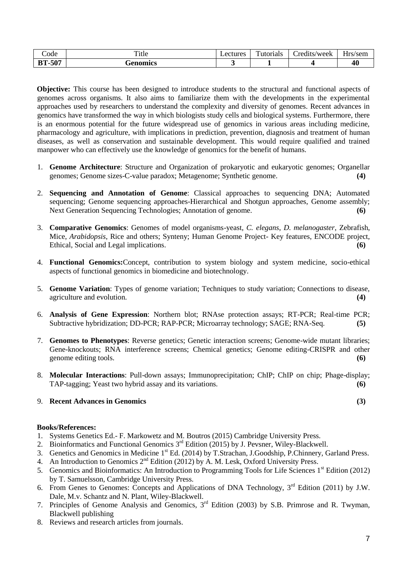| ode                              | m.<br>.tie | $\alpha$ ctures<br>Նատե | $\mathbf{r}$<br>utorials | redits/week_ | $ -$<br>-Irs/sem |
|----------------------------------|------------|-------------------------|--------------------------|--------------|------------------|
| $E\Omega$ 7<br>DТ<br>DІ<br>ו טכי | Genomics   |                         |                          |              |                  |

**Objective:** This course has been designed to introduce students to the structural and functional aspects of genomes across organisms. It also aims to familiarize them with the developments in the experimental approaches used by researchers to understand the complexity and diversity of genomes. Recent advances in genomics have transformed the way in which biologists study cells and biological systems. Furthermore, there is an enormous potential for the future widespread use of genomics in various areas including medicine, pharmacology and agriculture, with implications in prediction, prevention, diagnosis and treatment of human diseases, as well as conservation and sustainable development. This would require qualified and trained manpower who can effectively use the knowledge of genomics for the benefit of humans.

- 1. **Genome Architecture**: Structure and Organization of prokaryotic and eukaryotic genomes; Organellar genomes; Genome sizes-C-value paradox; Metagenome; Synthetic genome. **(4)**
- 2. **Sequencing and Annotation of Genome**: Classical approaches to sequencing DNA; Automated sequencing; Genome sequencing approaches-Hierarchical and Shotgun approaches, Genome assembly; Next Generation Sequencing Technologies; Annotation of genome. **(6)**
- 3. **Comparative Genomics**: Genomes of model organisms-yeast, *C. elegans*, *D. melanogaster*, Zebrafish, Mice, *Arabidopsis*, Rice and others; Synteny; Human Genome Project- Key features, ENCODE project, Ethical, Social and Legal implications. **(6)** (6)
- 4. **Functional Genomics:**Concept, contribution to system biology and system medicine, socio-ethical aspects of functional genomics in biomedicine and biotechnology.
- 5. **Genome Variation**: Types of genome variation; Techniques to study variation; Connections to disease, agriculture and evolution. **(4)**
- 6. **Analysis of Gene Expression**: Northern blot; RNAse protection assays; RT-PCR; Real-time PCR; Subtractive hybridization; DD-PCR; RAP-PCR; Microarray technology; SAGE; RNA-Seq. **(5)**
- 7. **Genomes to Phenotypes**: Reverse genetics; Genetic interaction screens; Genome-wide mutant libraries; Gene-knockouts; RNA interference screens; Chemical genetics; Genome editing-CRISPR and other genome editing tools. **(6)**
- 8. **Molecular Interactions**: Pull-down assays; Immunoprecipitation; ChIP; ChIP on chip; Phage-display; TAP-tagging; Yeast two hybrid assay and its variations. **(6)**

# 9. **Recent Advances in Genomics (3)**

- 1. Systems Genetics Ed.- F. Markowetz and M. Boutros (2015) Cambridge University Press.
- 2. Bioinformatics and Functional Genomics 3<sup>rd</sup> Edition (2015) by J. Pevsner, Wiley-Blackwell.
- 3. Genetics and Genomics in Medicine 1<sup>st</sup> Ed. (2014) by T.Strachan, J.Goodship, P.Chinnery, Garland Press.
- 4. An Introduction to Genomics 2<sup>nd</sup> Edition (2012) by A. M. Lesk, Oxford University Press.
- 5. Genomics and Bioinformatics: An Introduction to Programming Tools for Life Sciences 1<sup>st</sup> Edition (2012) by T. Samuelsson, Cambridge University Press.
- 6. From Genes to Genomes: Concepts and Applications of DNA Technology,  $3^{rd}$  Edition (2011) by J.W. Dale, M.v. Schantz and N. Plant, Wiley-Blackwell.
- 7. Principles of Genome Analysis and Genomics, 3rd Edition (2003) by S.B. Primrose and R. Twyman, Blackwell publishing
- 8. Reviews and research articles from journals.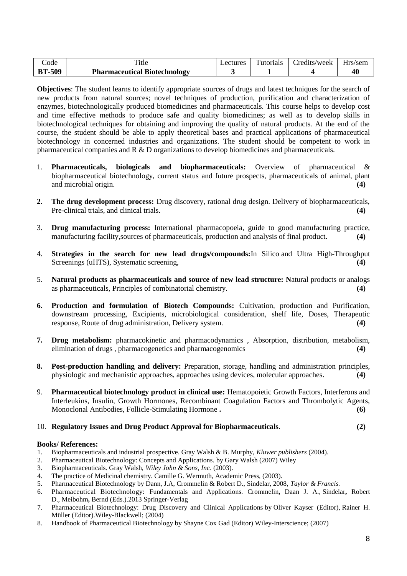| code          | <sup>1</sup> tle                    | Lectures | `utorials | Credits/week | $Hrs$ /sem |
|---------------|-------------------------------------|----------|-----------|--------------|------------|
| <b>BT-509</b> | <b>Pharmaceutical Biotechnology</b> |          |           |              | $\Lambda$  |

**Objectives**: The student learns to identify appropriate sources of drugs and latest techniques for the search of new products from natural sources; novel techniques of production, purification and characterization of enzymes, biotechnologically produced biomedicines and pharmaceuticals. This course helps to develop cost and time effective methods to produce safe and quality biomedicines; as well as to develop skills in biotechnological techniques for obtaining and improving the quality of natural products. At the end of the course, the student should be able to apply theoretical bases and practical applications of pharmaceutical biotechnology in concerned industries and organizations. The student should be competent to work in pharmaceutical companies and R & D organizations to develop biomedicines and pharmaceuticals.

- 1. **Pharmaceuticals, biologicals and biopharmaceuticals:** Overview of pharmaceutical & biopharmaceutical biotechnology, current status and future prospects, pharmaceuticals of animal, plant and microbial origin. **(4)**
- **2. The drug development process:** Drug discovery, rational drug design. Delivery of biopharmaceuticals, Pre-clinical trials, and clinical trials. **(4)**
- 3. **Drug manufacturing process:** International pharmacopoeia, guide to good manufacturing practice, manufacturing facility,sources of pharmaceuticals, production and analysis of final product. **(4)**
- 4. **Strategies in the search for new lead drugs/compounds:**In Silico and Ultra High-Throughput Screenings (uHTS), Systematic screening, **(4)**
- 5. **Natural products as pharmaceuticals and source of new lead structure: N**atural products or analogs as pharmaceuticals, Principles of combinatorial chemistry. **(4)**
- **6. Production and formulation of Biotech Compounds:** Cultivation, production and Purification, downstream processing, Excipients, microbiological consideration, shelf life, Doses, Therapeutic response, Route of drug administration, Delivery system. **(4)**
- **7. Drug metabolism:** pharmacokinetic and pharmacodynamics , Absorption, distribution, metabolism, elimination of drugs , pharmacogenetics and pharmacogenomics **(4)**
- **8. Post-production handling and delivery:** Preparation, storage, handling and administration principles, physiologic and mechanistic approaches, approaches using devices, molecular approaches. **(4)**
- 9. **Pharmaceutical biotechnology product in clinical use:** Hematopoietic Growth Factors, Interferons and Interleukins, Insulin, Growth Hormones, Recombinant Coagulation Factors and Thrombolytic Agents, Monoclonal Antibodies, Follicle-Stimulating Hormone **. (6)**

### 10. **Regulatory Issues and Drug Product Approval for Biopharmaceuticals**. **(2)**

- 1. Biopharmaceuticals and industrial prospective. Gray Walsh & B. Murphy, *Kluwer publishers* (2004).
- 2. Pharmaceutical Biotechnology: Concepts and Applications. by [Gary Walsh](http://www.amazon.com/s/ref=dp_byline_sr_book_1?ie=UTF8&text=Gary+Walsh&search-alias=books&field-author=Gary+Walsh&sort=relevancerank) (2007) Wiley
- 3. Biopharmaceuticals. Gray Walsh, *Wiley John & Sons, Inc*. (2003).
- 4. The practice of Medicinal chemistry. Camille G. Wermuth, Academic Press, (2003).
- 5. Pharmaceutical Biotechnology by Dann, J.A, Crommelin & Robert D., Sindelar, 2008, *Taylor & Francis.*
- 6. Pharmaceutical Biotechnology: Fundamentals and Applications. Crommelin**,** Daan J. A., Sindelar**,** Robert D., Meibohm**,** Bernd (Eds.).2013 Springer-Verlag
- 7. Pharmaceutical Biotechnology: Drug Discovery and Clinical Applications by [Oliver Kayser](http://www.amazon.com/Oliver-Kayser/e/B0034Q8PI6/ref=dp_byline_cont_book_1) (Editor), [Rainer H.](http://www.amazon.com/s/ref=dp_byline_sr_book_2?ie=UTF8&text=Rainer+H.+M%C3%BCller&search-alias=books&field-author=Rainer+H.+M%C3%BCller&sort=relevancerank)  [Müller](http://www.amazon.com/s/ref=dp_byline_sr_book_2?ie=UTF8&text=Rainer+H.+M%C3%BCller&search-alias=books&field-author=Rainer+H.+M%C3%BCller&sort=relevancerank) (Editor).Wiley-Blackwell; (2004)
- 8. Handbook of Pharmaceutical Biotechnology by [Shayne Cox Gad](http://www.amazon.com/s/ref=dp_byline_sr_book_1?ie=UTF8&text=Shayne+Cox+Gad&search-alias=books&field-author=Shayne+Cox+Gad&sort=relevancerank) (Editor) Wiley-Interscience; (2007)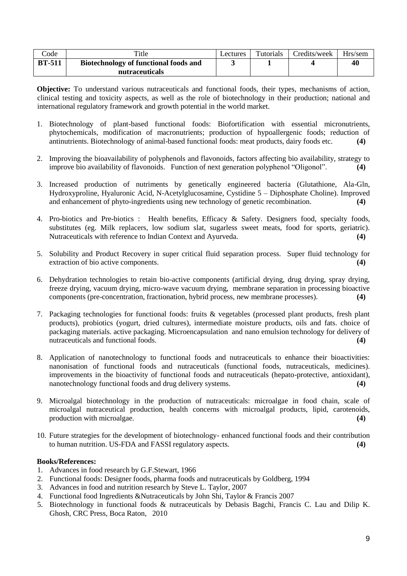| $\mathrm{Code}$ | Title                                                   | Lectures | Tutorials | Credits/week | Hrs/sem |
|-----------------|---------------------------------------------------------|----------|-----------|--------------|---------|
| <b>BT-511</b>   | Biotechnology of functional foods and<br>nutraceuticals |          |           |              | 40      |

**Objective:** To understand various nutraceuticals and functional foods, their types, mechanisms of action, clinical testing and toxicity aspects, as well as the role of biotechnology in their production; national and international regulatory framework and growth potential in the world market.

- 1. Biotechnology of plant-based functional foods: Biofortification with essential micronutrients, phytochemicals, modification of macronutrients; production of hypoallergenic foods; reduction of antinutrients. Biotechnology of animal-based functional foods: meat products, dairy foods etc. **(4)**
- 2. Improving the bioavailability of polyphenols and flavonoids, factors affecting bio availability, strategy to improve bio availability of flavonoids. Function of next generation polyphenol "Oligonol". **(4)**
- 3. Increased production of nutriments by genetically engineered bacteria (Glutathione, Ala-Gln, Hydroxyproline, Hyaluronic Acid, N-Acetylglucosamine, Cystidine 5 – Diphosphate Choline). Improved and enhancement of phyto-ingredients using new technology of genetic recombination. **(4)**
- 4. Pro-biotics and Pre-biotics : Health benefits, Efficacy & Safety. Designers food, specialty foods, substitutes (eg. Milk replacers, low sodium slat, sugarless sweet meats, food for sports, geriatric). Nutraceuticals with reference to Indian Context and Ayurveda. **(4)**
- 5. Solubility and Product Recovery in super critical fluid separation process. Super fluid technology for extraction of bio active components. **(4) (4)**
- 6. Dehydration technologies to retain bio-active components (artificial drying, drug drying, spray drying, freeze drying, vacuum drying, micro-wave vacuum drying, membrane separation in processing bioactive components (pre-concentration, fractionation, hybrid process, new membrane processes). **(4)**
- 7. Packaging technologies for functional foods: fruits & vegetables (processed plant products, fresh plant products), probiotics (yogurt, dried cultures), intermediate moisture products, oils and fats. choice of packaging materials. active packaging. Microencapsulation and nano emulsion technology for delivery of nutraceuticals and functional foods. **(4)**
- 8. Application of nanotechnology to functional foods and nutraceuticals to enhance their bioactivities: nanonisation of functional foods and nutraceuticals (functional foods, nutraceuticals, medicines). improvements in the bioactivity of functional foods and nutraceuticals (hepato-protective, antioxidant), nanotechnology functional foods and drug delivery systems. **(4)**
- 9. Microalgal biotechnology in the production of nutraceuticals: microalgae in food chain, scale of microalgal nutraceutical production, health concerns with microalgal products, lipid, carotenoids, production with microalgae. **(4)**
- 10. Future strategies for the development of biotechnology- enhanced functional foods and their contribution to human nutrition. US-FDA and FASSI regulatory aspects. **(4)**

- 1. Advances in food research by G.F.Stewart, 1966
- 2. Functional foods: Designer foods, pharma foods and nutraceuticals by Goldberg, 1994
- 3. Advances in food and nutrition research by Steve L. Taylor, 2007
- 4. Functional food Ingredients &Nutraceuticals by John Shi, Taylor & Francis 2007
- 5. Biotechnology in functional foods & nutraceuticals by Debasis Bagchi, Francis C. Lau and Dilip K. Ghosh, CRC Press, Boca Raton, 2010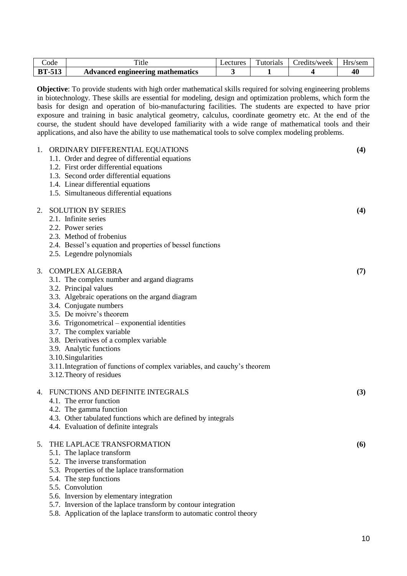| code          | `itle                            | <i>_ectures</i> | `utorials | Credits/week | Hrs/sem                |
|---------------|----------------------------------|-----------------|-----------|--------------|------------------------|
| <b>BT-513</b> | Advanced engineering mathematics |                 |           |              | $\boldsymbol{\Lambda}$ |

**Objective**: To provide students with high order mathematical skills required for solving engineering problems in biotechnology. These skills are essential for modeling, design and optimization problems, which form the basis for design and operation of bio-manufacturing facilities. The students are expected to have prior exposure and training in basic analytical geometry, calculus, coordinate geometry etc. At the end of the course, the student should have developed familiarity with a wide range of mathematical tools and their applications, and also have the ability to use mathematical tools to solve complex modeling problems.

| 1. | ORDINARY DIFFERENTIAL EQUATIONS<br>1.1. Order and degree of differential equations<br>1.2. First order differential equations<br>1.3. Second order differential equations<br>1.4. Linear differential equations<br>1.5. Simultaneous differential equations                                                                                                                                                                                                                                | (4) |
|----|--------------------------------------------------------------------------------------------------------------------------------------------------------------------------------------------------------------------------------------------------------------------------------------------------------------------------------------------------------------------------------------------------------------------------------------------------------------------------------------------|-----|
| 2. | <b>SOLUTION BY SERIES</b><br>2.1. Infinite series<br>2.2. Power series<br>2.3. Method of frobenius<br>2.4. Bessel's equation and properties of bessel functions<br>2.5. Legendre polynomials                                                                                                                                                                                                                                                                                               | (4) |
| 3. | <b>COMPLEX ALGEBRA</b><br>3.1. The complex number and argand diagrams<br>3.2. Principal values<br>3.3. Algebraic operations on the argand diagram<br>3.4. Conjugate numbers<br>3.5. De moivre's theorem<br>3.6. Trigonometrical – exponential identities<br>3.7. The complex variable<br>3.8. Derivatives of a complex variable<br>3.9. Analytic functions<br>3.10. Singularities<br>3.11. Integration of functions of complex variables, and cauchy's theorem<br>3.12. Theory of residues | (7) |
| 4. | FUNCTIONS AND DEFINITE INTEGRALS<br>4.1. The error function<br>4.2. The gamma function<br>4.3. Other tabulated functions which are defined by integrals<br>4.4. Evaluation of definite integrals                                                                                                                                                                                                                                                                                           | (3) |
| 5. | THE LAPLACE TRANSFORMATION<br>5.1. The laplace transform<br>5.2. The inverse transformation<br>5.3. Properties of the laplace transformation<br>5.4. The step functions<br>5.5. Convolution<br>5.6. Inversion by elementary integration                                                                                                                                                                                                                                                    | (6) |

- 5.7. Inversion of the laplace transform by contour integration
- 5.8. Application of the laplace transform to automatic control theory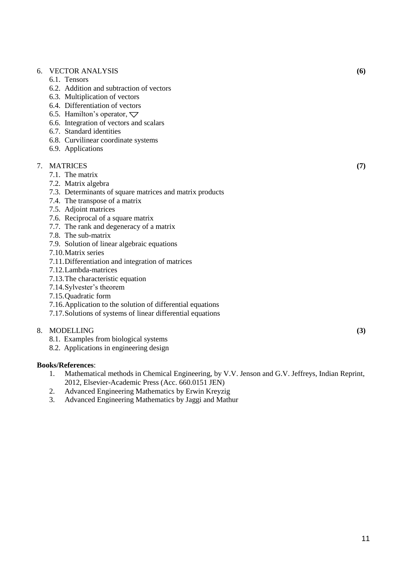### 6. VECTOR ANALYSIS **(6)**

- 6.1. Tensors
- 6.2. Addition and subtraction of vectors
- 6.3. Multiplication of vectors
- 6.4. Differentiation of vectors
- 6.5. Hamilton's operator,  $\nabla$
- 6.6. Integration of vectors and scalars
- 6.7. Standard identities
- 6.8. Curvilinear coordinate systems
- 6.9. Applications

#### 7. MATRICES **(7)**

- 7.1. The matrix
- 7.2. Matrix algebra
- 7.3. Determinants of square matrices and matrix products
- 7.4. The transpose of a matrix
- 7.5. Adjoint matrices
- 7.6. Reciprocal of a square matrix
- 7.7. The rank and degeneracy of a matrix
- 7.8. The sub-matrix
- 7.9. Solution of linear algebraic equations
- 7.10.Matrix series
- 7.11.Differentiation and integration of matrices
- 7.12.Lambda-matrices
- 7.13.The characteristic equation
- 7.14.Sylvester's theorem
- 7.15.Quadratic form
- 7.16.Application to the solution of differential equations
- 7.17.Solutions of systems of linear differential equations

#### 8. MODELLING **(3)**

- 8.1. Examples from biological systems
- 8.2. Applications in engineering design

- 1. Mathematical methods in Chemical Engineering, by V.V. Jenson and G.V. Jeffreys, Indian Reprint, 2012, Elsevier-Academic Press (Acc. 660.0151 JEN)
- 2. Advanced Engineering Mathematics by Erwin Kreyzig
- 3. Advanced Engineering Mathematics by Jaggi and Mathur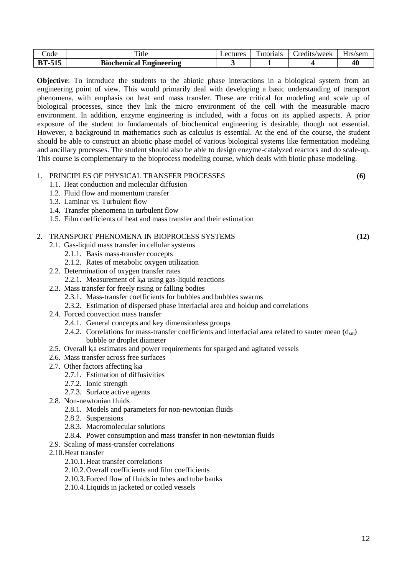| code    | Ē<br>1tle                           | ectures_ | $\mathbf{r}$<br>Futorials | redits/week_ | $-$<br>$-$ rc<br>/sem |
|---------|-------------------------------------|----------|---------------------------|--------------|-----------------------|
| DТ<br>, | <b>Biochemical</b> .<br>Engineering |          |                           |              | 40                    |

**Objective**: To introduce the students to the abiotic phase interactions in a biological system from an engineering point of view. This would primarily deal with developing a basic understanding of transport phenomena, with emphasis on heat and mass transfer. These are critical for modeling and scale up of biological processes, since they link the micro environment of the cell with the measurable macro environment. In addition, enzyme engineering is included, with a focus on its applied aspects. A prior exposure of the student to fundamentals of biochemical engineering is desirable, though not essential. However, a background in mathematics such as calculus is essential. At the end of the course, the student should be able to construct an abiotic phase model of various biological systems like fermentation modeling and ancillary processes. The student should also be able to design enzyme-catalyzed reactors and do scale-up. This course is complementary to the bioprocess modeling course, which deals with biotic phase modeling.

| 1. PRINCIPLES OF PHYSICAL TRANSFER PROCESSES | (6) |
|----------------------------------------------|-----|
| 1.1. Heat conduction and molecular diffusion |     |
| 1.2. Fluid flow and momentum transfer        |     |
| 1.3. Laminar vs. Turbulent flow              |     |
| 1.4. Transfer phenomena in turbulent flow    |     |

1.5. Film coefficients of heat and mass transfer and their estimation

#### 2. TRANSPORT PHENOMENA IN BIOPROCESS SYSTEMS **(12)**

- 2.1. Gas-liquid mass transfer in cellular systems
	- 2.1.1. Basis mass-transfer concepts
	- 2.1.2. Rates of metabolic oxygen utilization
- 2.2. Determination of oxygen transfer rates
	- 2.2.1. Measurement of  $k<sub>l</sub>a$  using gas-liquid reactions
- 2.3. Mass transfer for freely rising or falling bodies
	- 2.3.1. Mass-transfer coefficients for bubbles and bubbles swarms
	- 2.3.2. Estimation of dispersed phase interfacial area and holdup and correlations
- 2.4. Forced convection mass transfer
	- 2.4.1. General concepts and key dimensionless groups
	- 2.4.2. Correlations for mass-transfer coefficients and interfacial area related to sauter mean  $(d<sub>sm</sub>)$ bubble or droplet diameter
- 2.5. Overall ka estimates and power requirements for sparged and agitated vessels
- 2.6. Mass transfer across free surfaces
- 2.7. Other factors affecting  $k_1a$ 
	- 2.7.1. Estimation of diffusivities
	- 2.7.2. Ionic strength
	- 2.7.3. Surface active agents
- 2.8. Non-newtonian fluids
	- 2.8.1. Models and parameters for non-newtonian fluids
	- 2.8.2. Suspensions
	- 2.8.3. Macromolecular solutions
	- 2.8.4. Power consumption and mass transfer in non-newtonian fluids
- 2.9. Scaling of mass-transfer correlations
- 2.10.Heat transfer
	- 2.10.1.Heat transfer correlations
	- 2.10.2.Overall coefficients and film coefficients
	- 2.10.3.Forced flow of fluids in tubes and tube banks
	- 2.10.4.Liquids in jacketed or coiled vessels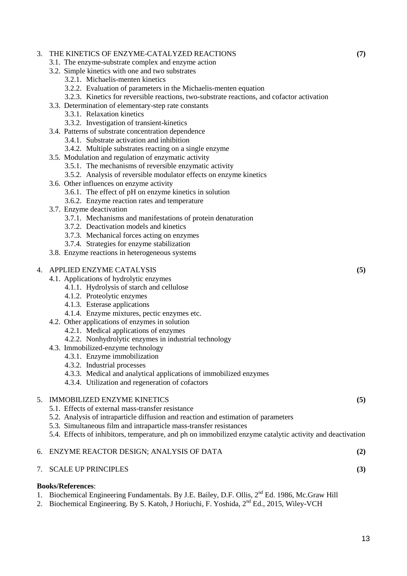# 3. THE KINETICS OF ENZYME-CATALYZED REACTIONS **(7)**

- 3.1. The enzyme-substrate complex and enzyme action
- 3.2. Simple kinetics with one and two substrates
	- 3.2.1. Michaelis-menten kinetics
	- 3.2.2. Evaluation of parameters in the Michaelis-menten equation
	- 3.2.3. Kinetics for reversible reactions, two-substrate reactions, and cofactor activation
- 3.3. Determination of elementary-step rate constants
	- 3.3.1. Relaxation kinetics
	- 3.3.2. Investigation of transient-kinetics
- 3.4. Patterns of substrate concentration dependence
	- 3.4.1. Substrate activation and inhibition
	- 3.4.2. Multiple substrates reacting on a single enzyme
- 3.5. Modulation and regulation of enzymatic activity
	- 3.5.1. The mechanisms of reversible enzymatic activity
	- 3.5.2. Analysis of reversible modulator effects on enzyme kinetics
- 3.6. Other influences on enzyme activity
	- 3.6.1. The effect of pH on enzyme kinetics in solution
	- 3.6.2. Enzyme reaction rates and temperature
- 3.7. Enzyme deactivation
	- 3.7.1. Mechanisms and manifestations of protein denaturation
	- 3.7.2. Deactivation models and kinetics
	- 3.7.3. Mechanical forces acting on enzymes
	- 3.7.4. Strategies for enzyme stabilization
- 3.8. Enzyme reactions in heterogeneous systems

### 4. APPLIED ENZYME CATALYSIS **(5)**

- 4.1. Applications of hydrolytic enzymes
	- 4.1.1. Hydrolysis of starch and cellulose
	- 4.1.2. Proteolytic enzymes
	- 4.1.3. Esterase applications
	- 4.1.4. Enzyme mixtures, pectic enzymes etc.
- 4.2. Other applications of enzymes in solution
	- 4.2.1. Medical applications of enzymes
	- 4.2.2. Nonhydrolytic enzymes in industrial technology
- 4.3. Immobilized-enzyme technology
	- 4.3.1. Enzyme immobilization
		- 4.3.2. Industrial processes
		- 4.3.3. Medical and analytical applications of immobilized enzymes
		- 4.3.4. Utilization and regeneration of cofactors

#### 5. IMMOBILIZED ENZYME KINETICS **(5)**

- 5.1. Effects of external mass-transfer resistance
- 5.2. Analysis of intraparticle diffusion and reaction and estimation of parameters
- 5.3. Simultaneous film and intraparticle mass-transfer resistances
- 5.4. Effects of inhibitors, temperature, and ph on immobilized enzyme catalytic activity and deactivation

#### 6. ENZYME REACTOR DESIGN; ANALYSIS OF DATA **(2)**

### 7. SCALE UP PRINCIPLES **(3)**

- 1. Biochemical Engineering Fundamentals. By J.E. Bailey, D.F. Ollis, 2<sup>nd</sup> Ed. 1986, Mc.Graw Hill
- 2. Biochemical Engineering. By S. Katoh, J Horiuchi, F. Yoshida, 2<sup>nd</sup> Ed., 2015, Wiley-VCH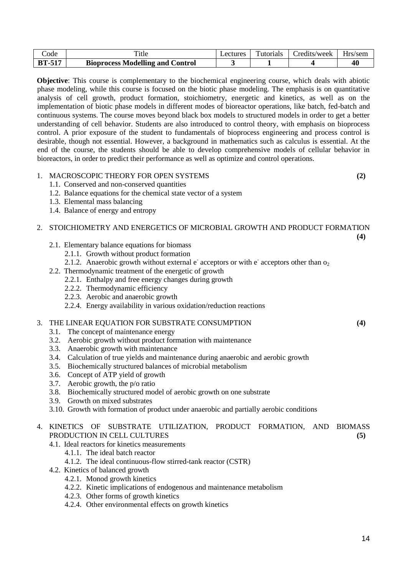| Code          | `itle                                   | ectures | Tutorials | redits/week_ | Hrs/sem |
|---------------|-----------------------------------------|---------|-----------|--------------|---------|
| <b>BT-517</b> | <b>Bioprocess Modelling and Control</b> |         |           |              | 40      |

**Objective**: This course is complementary to the biochemical engineering course, which deals with abiotic phase modeling, while this course is focused on the biotic phase modeling. The emphasis is on quantitative analysis of cell growth, product formation, stoichiometry, energetic and kinetics, as well as on the implementation of biotic phase models in different modes of bioreactor operations, like batch, fed-batch and continuous systems. The course moves beyond black box models to structured models in order to get a better understanding of cell behavior. Students are also introduced to control theory, with emphasis on bioprocess control. A prior exposure of the student to fundamentals of bioprocess engineering and process control is desirable, though not essential. However, a background in mathematics such as calculus is essential. At the end of the course, the students should be able to develop comprehensive models of cellular behavior in bioreactors, in order to predict their performance as well as optimize and control operations.

# 1. MACROSCOPIC THEORY FOR OPEN SYSTEMS **(2)**

**(4)**

- 1.1. Conserved and non-conserved quantities
- 1.2. Balance equations for the chemical state vector of a system
- 1.3. Elemental mass balancing
- 1.4. Balance of energy and entropy

# 2. STOICHIOMETRY AND ENERGETICS OF MICROBIAL GROWTH AND PRODUCT FORMATION

- 2.1. Elementary balance equations for biomass
	- 2.1.1. Growth without product formation
	- 2.1.2. Anaerobic growth without external  $e^{\dagger}$  acceptors or with  $e^{\dagger}$  acceptors other than  $o_2$
- 2.2. Thermodynamic treatment of the energetic of growth
	- 2.2.1. Enthalpy and free energy changes during growth
	- 2.2.2. Thermodynamic efficiency
	- 2.2.3. Aerobic and anaerobic growth
	- 2.2.4. Energy availability in various oxidation/reduction reactions

### 3. THE LINEAR EQUATION FOR SUBSTRATE CONSUMPTION **(4)**

- 3.1. The concept of maintenance energy
- 3.2. Aerobic growth without product formation with maintenance
- 3.3. Anaerobic growth with maintenance
- 3.4. Calculation of true yields and maintenance during anaerobic and aerobic growth
- 3.5. Biochemically structured balances of microbial metabolism
- 3.6. Concept of ATP yield of growth
- 3.7. Aerobic growth, the p/o ratio
- 3.8. Biochemically structured model of aerobic growth on one substrate
- 3.9. Growth on mixed substrates
- 3.10. Growth with formation of product under anaerobic and partially aerobic conditions

# 4. KINETICS OF SUBSTRATE UTILIZATION, PRODUCT FORMATION, AND BIOMASS PRODUCTION IN CELL CULTURES **(5)**

- 4.1. Ideal reactors for kinetics measurements
	- 4.1.1. The ideal batch reactor
		- 4.1.2. The ideal continuous-flow stirred-tank reactor (CSTR)
- 4.2. Kinetics of balanced growth
	- 4.2.1. Monod growth kinetics
	- 4.2.2. Kinetic implications of endogenous and maintenance metabolism
	- 4.2.3. Other forms of growth kinetics
	- 4.2.4. Other environmental effects on growth kinetics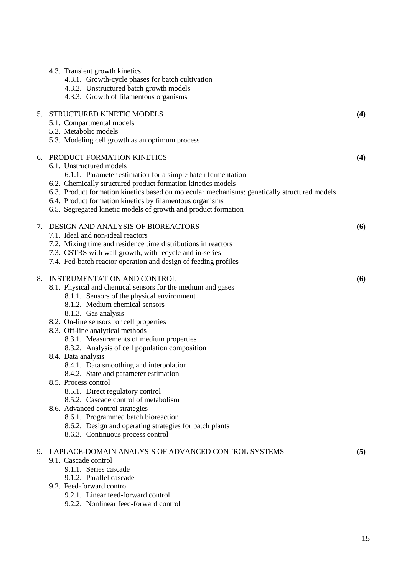|    | 4.3. Transient growth kinetics<br>4.3.1. Growth-cycle phases for batch cultivation<br>4.3.2. Unstructured batch growth models<br>4.3.3. Growth of filamentous organisms                                                                                                                                                                                                                                                                                                                                                                                                                                                                                                                                                                                                  |     |
|----|--------------------------------------------------------------------------------------------------------------------------------------------------------------------------------------------------------------------------------------------------------------------------------------------------------------------------------------------------------------------------------------------------------------------------------------------------------------------------------------------------------------------------------------------------------------------------------------------------------------------------------------------------------------------------------------------------------------------------------------------------------------------------|-----|
|    | 5. STRUCTURED KINETIC MODELS<br>5.1. Compartmental models<br>5.2. Metabolic models<br>5.3. Modeling cell growth as an optimum process                                                                                                                                                                                                                                                                                                                                                                                                                                                                                                                                                                                                                                    | (4) |
| 6. | PRODUCT FORMATION KINETICS<br>6.1. Unstructured models<br>6.1.1. Parameter estimation for a simple batch fermentation<br>6.2. Chemically structured product formation kinetics models<br>6.3. Product formation kinetics based on molecular mechanisms: genetically structured models<br>6.4. Product formation kinetics by filamentous organisms<br>6.5. Segregated kinetic models of growth and product formation                                                                                                                                                                                                                                                                                                                                                      | (4) |
| 7. | DESIGN AND ANALYSIS OF BIOREACTORS<br>7.1. Ideal and non-ideal reactors<br>7.2. Mixing time and residence time distributions in reactors<br>7.3. CSTRS with wall growth, with recycle and in-series<br>7.4. Fed-batch reactor operation and design of feeding profiles                                                                                                                                                                                                                                                                                                                                                                                                                                                                                                   | (6) |
| 8. | INSTRUMENTATION AND CONTROL<br>8.1. Physical and chemical sensors for the medium and gases<br>8.1.1. Sensors of the physical environment<br>8.1.2. Medium chemical sensors<br>8.1.3. Gas analysis<br>8.2. On-line sensors for cell properties<br>8.3. Off-line analytical methods<br>8.3.1. Measurements of medium properties<br>8.3.2. Analysis of cell population composition<br>8.4. Data analysis<br>8.4.1. Data smoothing and interpolation<br>8.4.2. State and parameter estimation<br>8.5. Process control<br>8.5.1. Direct regulatory control<br>8.5.2. Cascade control of metabolism<br>8.6. Advanced control strategies<br>8.6.1. Programmed batch bioreaction<br>8.6.2. Design and operating strategies for batch plants<br>8.6.3. Continuous process control | (6) |
|    | 9. LAPLACE-DOMAIN ANALYSIS OF ADVANCED CONTROL SYSTEMS<br>9.1. Cascade control<br>9.1.1. Series cascade<br>9.1.2. Parallel cascade<br>9.2. Feed-forward control<br>9.2.1. Linear feed-forward control<br>9.2.2. Nonlinear feed-forward control                                                                                                                                                                                                                                                                                                                                                                                                                                                                                                                           | (5) |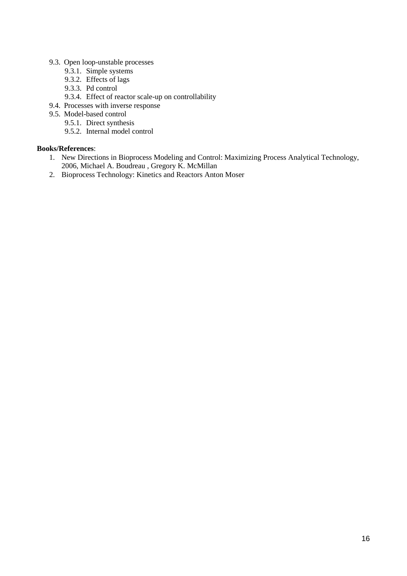- 9.3. Open loop-unstable processes
	- 9.3.1. Simple systems
	- 9.3.2. Effects of lags
	- 9.3.3. Pd control
	- 9.3.4. Effect of reactor scale-up on controllability
- 9.4. Processes with inverse response
- 9.5. Model-based control
	- 9.5.1. Direct synthesis
	- 9.5.2. Internal model control

- 1. New Directions in Bioprocess Modeling and Control: Maximizing Process Analytical Technology, 2006, Michael A. Boudreau , Gregory K. McMillan
- 2. Bioprocess Technology: Kinetics and Reactors Anton Moser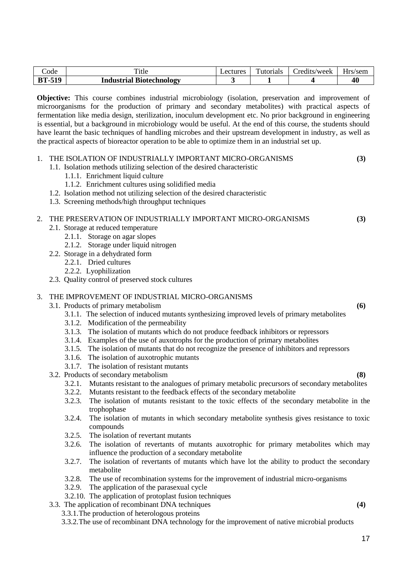| ode              | m.,<br><sup>1tle</sup>                               | Lecture <sup>r</sup> | $\sim$<br>utorials | redits/week_ | $-$<br>പക്ഷത്.<br>/sem |
|------------------|------------------------------------------------------|----------------------|--------------------|--------------|------------------------|
| <b>E10</b><br>DТ | $\mathbf{r}$<br><b>Industrial</b><br>. Biotechnology |                      |                    |              | 40                     |

**Objective:** This course combines industrial microbiology (isolation, preservation and improvement of microorganisms for the production of primary and secondary metabolites) with practical aspects of fermentation like media design, sterilization, inoculum development etc. No prior background in engineering is essential, but a background in microbiology would be useful. At the end of this course, the students should have learnt the basic techniques of handling microbes and their upstream development in industry, as well as the practical aspects of bioreactor operation to be able to optimize them in an industrial set up.

| 1. | THE ISOLATION OF INDUSTRIALLY IMPORTANT MICRO-ORGANISMS<br>1.1. Isolation methods utilizing selection of the desired characteristic<br>1.1.1. Enrichment liquid culture<br>1.1.2. Enrichment cultures using solidified media<br>1.2. Isolation method not utilizing selection of the desired characteristic<br>1.3. Screening methods/high throughput techniques                                                                                                                                                   | (3) |
|----|--------------------------------------------------------------------------------------------------------------------------------------------------------------------------------------------------------------------------------------------------------------------------------------------------------------------------------------------------------------------------------------------------------------------------------------------------------------------------------------------------------------------|-----|
| 2. | THE PRESERVATION OF INDUSTRIALLY IMPORTANT MICRO-ORGANISMS<br>2.1. Storage at reduced temperature<br>2.1.1. Storage on agar slopes<br>2.1.2. Storage under liquid nitrogen<br>2.2. Storage in a dehydrated form<br>2.2.1. Dried cultures<br>2.2.2. Lyophilization<br>2.3. Quality control of preserved stock cultures                                                                                                                                                                                              | (3) |
| 3. | THE IMPROVEMENT OF INDUSTRIAL MICRO-ORGANISMS<br>3.1. Products of primary metabolism<br>3.1.1. The selection of induced mutants synthesizing improved levels of primary metabolities<br>3.1.2. Modification of the permeability<br>3.1.3. The isolation of mutants which do not produce feedback inhibitors or repressors<br>3.1.4. Examples of the use of auxotrophs for the production of primary metabolities<br>3.1.5 The isolation of mutants that do not recognize the presence of inhibitors and repressors | (6) |

- 3.1.5. The isolation of mutants that do not recognize the presence of inhibitors and repressors
- 3.1.6. The isolation of auxotrophic mutants
- 3.1.7. The isolation of resistant mutants
- 3.2. Products of secondary metabolism **(8)**
	- 3.2.1. Mutants resistant to the analogues of primary metabolic precursors of secondary metabolites
	- 3.2.2. Mutants resistant to the feedback effects of the secondary metabolite
	- 3.2.3. The isolation of mutants resistant to the toxic effects of the secondary metabolite in the trophophase
	- 3.2.4. The isolation of mutants in which secondary metabolite synthesis gives resistance to toxic compounds
	- 3.2.5. The isolation of revertant mutants
	- 3.2.6. The isolation of revertants of mutants auxotrophic for primary metabolites which may influence the production of a secondary metabolite
	- 3.2.7. The isolation of revertants of mutants which have lot the ability to product the secondary metabolite
	- 3.2.8. The use of recombination systems for the improvement of industrial micro-organisms
	- 3.2.9. The application of the parasexual cycle
	- 3.2.10. The application of protoplast fusion techniques
- 3.3. The application of recombinant DNA techniques **(4)**
	- 3.3.1.The production of heterologous proteins
	- 3.3.2.The use of recombinant DNA technology for the improvement of native microbial products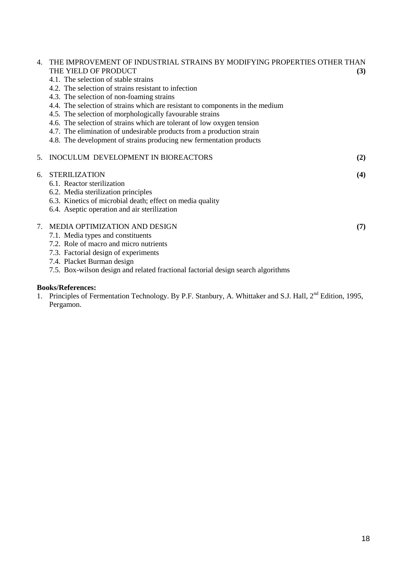| 4.              | THE IMPROVEMENT OF INDUSTRIAL STRAINS BY MODIFYING PROPERTIES OTHER THAN<br>THE YIELD OF PRODUCT<br>4.1. The selection of stable strains<br>4.2. The selection of strains resistant to infection<br>4.3. The selection of non-foaming strains<br>4.4. The selection of strains which are resistant to components in the medium<br>4.5. The selection of morphologically favourable strains<br>4.6. The selection of strains which are tolerant of low oxygen tension<br>4.7. The elimination of undesirable products from a production strain<br>4.8. The development of strains producing new fermentation products | (3) |
|-----------------|----------------------------------------------------------------------------------------------------------------------------------------------------------------------------------------------------------------------------------------------------------------------------------------------------------------------------------------------------------------------------------------------------------------------------------------------------------------------------------------------------------------------------------------------------------------------------------------------------------------------|-----|
| 5.              | INOCULUM DEVELOPMENT IN BIOREACTORS                                                                                                                                                                                                                                                                                                                                                                                                                                                                                                                                                                                  | (2) |
| б.              | <b>STERILIZATION</b><br>6.1. Reactor sterilization<br>6.2. Media sterilization principles<br>6.3. Kinetics of microbial death; effect on media quality<br>6.4. Aseptic operation and air sterilization                                                                                                                                                                                                                                                                                                                                                                                                               | (4) |
| $7\overline{ }$ | MEDIA OPTIMIZATION AND DESIGN<br>7.1. Media types and constituents<br>7.2. Role of macro and micro nutrients<br>7.3. Factorial design of experiments<br>7.4. Placket Burman design<br>7.5. Box-wilson design and related fractional factorial design search algorithms                                                                                                                                                                                                                                                                                                                                               | (7) |

# **Books/References:**

1. Principles of Fermentation Technology. By P.F. Stanbury, A. Whittaker and S.J. Hall, 2<sup>nd</sup> Edition, 1995, Pergamon.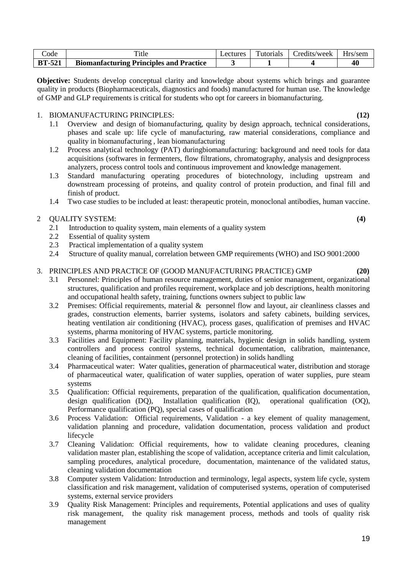19

| code          | m.,<br>`itle                                   | ectures_ | `utorials | redits/week_ | Hrs/sem |
|---------------|------------------------------------------------|----------|-----------|--------------|---------|
| <b>BT-521</b> | <b>Biomanfacturing Principles and Practice</b> |          |           |              | 40      |

**Objective:** Students develop conceptual clarity and knowledge about systems which brings and guarantee quality in products (Biopharmaceuticals, diagnostics and foods) manufactured for human use. The knowledge of GMP and GLP requirements is critical for students who opt for careers in biomanufacturing.

# 1. BIOMANUFACTURING PRINCIPLES: **(12)**

- 1.1 Overview and design of biomanufacturing, quality by design approach, technical considerations, phases and scale up: life cycle of manufacturing, raw material considerations, compliance and quality in biomanufacturing , lean biomanufacturing
- 1.2 Process analytical technology (PAT) duringbiomanufacturing: background and need tools for data acquisitions (softwares in fermenters, flow filtrations, chromatography, analysis and designprocess analyzers, process control tools and continuous improvement and knowledge management.
- 1.3 Standard manufacturing operating procedures of biotechnology, including upstream and downstream processing of proteins, and quality control of protein production, and final fill and finish of product.
- 1.4 Two case studies to be included at least: therapeutic protein, monoclonal antibodies, human vaccine.

# 2 QUALITY SYSTEM: **(4)**

- 2.1 Introduction to quality system, main elements of a quality system
- 2.2 Essential of quality system
- 2.3 Practical implementation of a quality system
- 2.4 Structure of quality manual, correlation between GMP requirements (WHO) and ISO 9001:2000

# 3. PRINCIPLES AND PRACTICE OF (GOOD MANUFACTURING PRACTICE) GMP **(20)**

- 3.1 Personnel: Principles of human resource management, duties of senior management, organizational structures, qualification and profiles requirement, workplace and job descriptions, health monitoring and occupational health safety, training, functions owners subject to public law
- 3.2 Premises: Official requirements, material & personnel flow and layout, air cleanliness classes and grades, construction elements, barrier systems, isolators and safety cabinets, building services, heating ventilation air conditioning (HVAC), process gases, qualification of premises and HVAC systems, pharma monitoring of HVAC systems, particle monitoring.
- 3.3 Facilities and Equipment: Facility planning, materials, hygienic design in solids handling, system controllers and process control systems, technical documentation, calibration, maintenance, cleaning of facilities, containment (personnel protection) in solids handling
- 3.4 Pharmaceutical water: Water qualities, generation of pharmaceutical water, distribution and storage of pharmaceutical water, qualification of water supplies, operation of water supplies, pure steam systems
- 3.5 Qualification: Official requirements, preparation of the qualification, qualification documentation, design qualification (DQ), Installation qualification (IQ), operational qualification (OO). Installation qualification  $(IO)$ , operational qualification  $(OO)$ , Performance qualification (PQ), special cases of qualification
- 3.6 Process Validation: Official requirements, Validation a key element of quality management, validation planning and procedure, validation documentation, process validation and product lifecycle
- 3.7 Cleaning Validation: Official requirements, how to validate cleaning procedures, cleaning validation master plan, establishing the scope of validation, acceptance criteria and limit calculation, sampling procedures, analytical procedure, documentation, maintenance of the validated status, cleaning validation documentation
- 3.8 Computer system Validation: Introduction and terminology, legal aspects, system life cycle, system classification and risk management, validation of computerised systems, operation of computerised systems, external service providers
- 3.9 Quality Risk Management: Principles and requirements, Potential applications and uses of quality risk management, the quality risk management process, methods and tools of quality risk management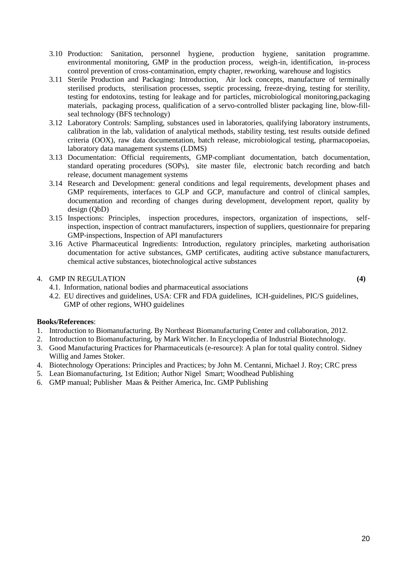- 3.10 Production: Sanitation, personnel hygiene, production hygiene, sanitation programme. environmental monitoring, GMP in the production process, weigh-in, identification, in-process control prevention of cross-contamination, empty chapter, reworking, warehouse and logistics
- 3.11 Sterile Production and Packaging: Introduction, Air lock concepts, manufacture of terminally sterilised products, sterilisation processes, sseptic processing, freeze-drying, testing for sterility, testing for endotoxins, testing for leakage and for particles, microbiological monitoring,packaging materials, packaging process, qualification of a servo-controlled blister packaging line, blow-fillseal technology (BFS technology)
- 3.12 Laboratory Controls: Sampling, substances used in laboratories, qualifying laboratory instruments, calibration in the lab, validation of analytical methods, stability testing, test results outside defined criteria (OOX), raw data documentation, batch release, microbiological testing, pharmacopoeias, laboratory data management systems (LDMS)
- 3.13 Documentation: Official requirements, GMP-compliant documentation, batch documentation, standard operating procedures (SOPs), site master file, electronic batch recording and batch release, document management systems
- 3.14 Research and Development: general conditions and legal requirements, development phases and GMP requirements, interfaces to GLP and GCP, manufacture and control of clinical samples, documentation and recording of changes during development, development report, quality by design (QbD)
- 3.15 Inspections: Principles, inspection procedures, inspectors, organization of inspections, selfinspection, inspection of contract manufacturers, inspection of suppliers, questionnaire for preparing GMP-inspections, Inspection of API manufacturers
- 3.16 Active Pharmaceutical Ingredients: Introduction, regulatory principles, marketing authorisation documentation for active substances, GMP certificates, auditing active substance manufacturers, chemical active substances, biotechnological active substances

# 4. GMP IN REGULATION **(4)**

- 4.1. Information, national bodies and pharmaceutical associations
- 4.2. EU directives and guidelines, USA: CFR and FDA guidelines, ICH-guidelines, PIC/S guidelines, GMP of other regions, WHO guidelines

- 1. Introduction to Biomanufacturing. By Northeast Biomanufacturing Center and collaboration, 2012.
- 2. Introduction to Biomanufacturing, by Mark Witcher. In Encyclopedia of Industrial Biotechnology.
- 3. Good Manufacturing Practices for Pharmaceuticals (e-resource): A plan for total quality control. Sidney Willig and James Stoker.
- 4. Biotechnology Operations: Principles and Practices; by John M. Centanni, Michael J. Roy; CRC press
- 5. Lean Biomanufacturing, 1st Edition; Author Nigel Smart; Woodhead Publishing
- 6. GMP manual; Publisher Maas & Peither America, Inc. GMP Publishing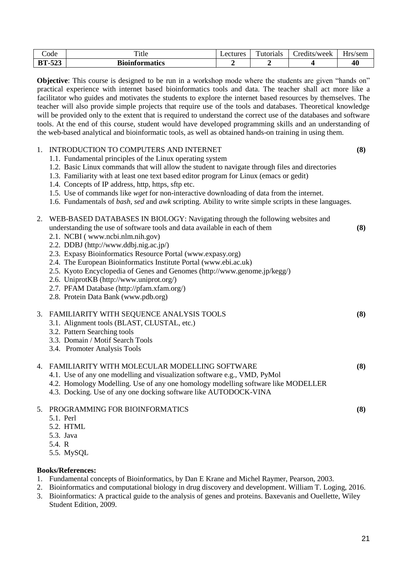| Code            | m.<br><sup>1</sup> tle | _ectures | $\mathbf{r}$<br>Futorials | redits/week_ | $-$<br>a re<br>/sem<br>$\cdot$ |
|-----------------|------------------------|----------|---------------------------|--------------|--------------------------------|
| AA<br>DТ<br>ت⊾ت | <b>Bioinformatics</b>  |          |                           |              | 40                             |

**Objective**: This course is designed to be run in a workshop mode where the students are given "hands on" practical experience with internet based bioinformatics tools and data. The teacher shall act more like a facilitator who guides and motivates the students to explore the internet based resources by themselves. The teacher will also provide simple projects that require use of the tools and databases. Theoretical knowledge will be provided only to the extent that is required to understand the correct use of the databases and software tools. At the end of this course, student would have developed programming skills and an understanding of the web-based analytical and bioinformatic tools, as well as obtained hands-on training in using them.

#### 1. INTRODUCTION TO COMPUTERS AND INTERNET **(8)**

- 1.1. Fundamental principles of the Linux operating system
- 1.2. Basic Linux commands that will allow the student to navigate through files and directories
- 1.3. Familiarity with at least one text based editor program for Linux (emacs or gedit)

 $2.056$  Based Databases in Biology: Navigating the following website and following websites and following websites and following websites and following websites and following websites and following websites and following

- 1.4. Concepts of IP address, http, https, sftp etc.
- 1.5. Use of commands like *wget* for non-interactive downloading of data from the internet.
- 1.6. Fundamentals of *bash*, *sed* and *awk* scripting. Ability to write simple scripts in these languages.

|    | WEB-BASED DATABASES IN BIOLOGY: Navigating through the following websites and     |     |
|----|-----------------------------------------------------------------------------------|-----|
|    | understanding the use of software tools and data available in each of them        | (8) |
|    | 2.1. NCBI (www.ncbi.nlm.nih.gov)                                                  |     |
|    | 2.2. DDBJ (http://www.ddbj.nig.ac.jp/)                                            |     |
|    | 2.3. Expasy Bioinformatics Resource Portal (www.expasy.org)                       |     |
|    | 2.4. The European Bioinformatics Institute Portal (www.ebi.ac.uk)                 |     |
|    | 2.5. Kyoto Encyclopedia of Genes and Genomes (http://www.genome.jp/kegg/)         |     |
|    | 2.6. UniprotKB (http://www.uniprot.org/)                                          |     |
|    | 2.7. PFAM Database (http://pfam.xfam.org/)                                        |     |
|    | 2.8. Protein Data Bank (www.pdb.org)                                              |     |
|    | 3. FAMILIARITY WITH SEQUENCE ANALYSIS TOOLS                                       | (8) |
|    | 3.1. Alignment tools (BLAST, CLUSTAL, etc.)                                       |     |
|    | 3.2. Pattern Searching tools                                                      |     |
|    | 3.3. Domain / Motif Search Tools                                                  |     |
|    | 3.4. Promoter Analysis Tools                                                      |     |
| 4. | FAMILIARITY WITH MOLECULAR MODELLING SOFTWARE                                     | (8) |
|    | 4.1. Use of any one modelling and visualization software e.g., VMD, PyMol         |     |
|    | 4.2. Homology Modelling. Use of any one homology modelling software like MODELLER |     |
|    | 4.3. Docking. Use of any one docking software like AUTODOCK-VINA                  |     |
| 5. | PROGRAMMING FOR BIOINFORMATICS                                                    | (8) |
|    | 5.1. Perl                                                                         |     |
|    | 5.2. HTML                                                                         |     |
|    | 5.3. Java                                                                         |     |
|    | 5.4. R                                                                            |     |

5.5. MySQL

- 1. Fundamental concepts of Bioinformatics, by Dan E Krane and Michel Raymer, Pearson, 2003.
- 2. Bioinformatics and computational biology in drug discovery and development. William T. Loging, 2016.
- 3. Bioinformatics: A practical guide to the analysis of genes and proteins. Baxevanis and Ouellette, Wiley Student Edition, 2009.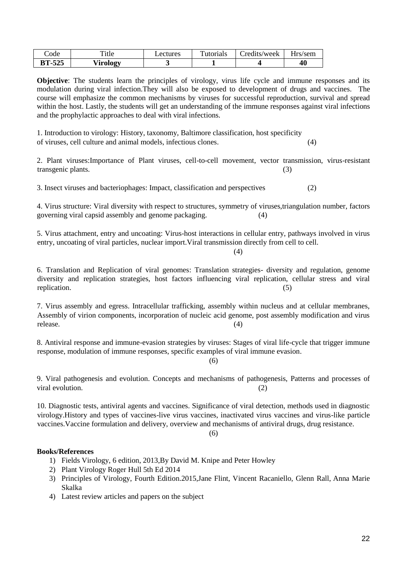| code          | Title    | _ectures | Tutorials | Credits/week | Hrs/sem |
|---------------|----------|----------|-----------|--------------|---------|
| <b>BT-525</b> | Virology |          |           |              | 40      |

**Objective**: The students learn the principles of virology, virus life cycle and immune responses and its modulation during viral infection.They will also be exposed to development of drugs and vaccines. The course will emphasize the common mechanisms by viruses for successful reproduction, survival and spread within the host. Lastly, the students will get an understanding of the immune responses against viral infections and the prophylactic approaches to deal with viral infections.

1. Introduction to virology: History, taxonomy, Baltimore classification, host specificity of viruses, cell culture and animal models, infectious clones. (4)

2. Plant viruses:Importance of Plant viruses, cell-to-cell movement, vector transmission, virus-resistant transgenic plants. (3)

3. Insect viruses and bacteriophages: Impact, classification and perspectives (2)

4. Virus structure: Viral diversity with respect to structures, symmetry of viruses,triangulation number, factors governing viral capsid assembly and genome packaging. (4)

5. Virus attachment, entry and uncoating: Virus-host interactions in cellular entry, pathways involved in virus entry, uncoating of viral particles, nuclear import.Viral transmission directly from cell to cell.

(4)

6. Translation and Replication of viral genomes: Translation strategies- diversity and regulation, genome diversity and replication strategies, host factors influencing viral replication, cellular stress and viral replication. (5)

7. Virus assembly and egress. Intracellular trafficking, assembly within nucleus and at cellular membranes, Assembly of virion components, incorporation of nucleic acid genome, post assembly modification and virus release. (4)

8. Antiviral response and immune-evasion strategies by viruses: Stages of viral life-cycle that trigger immune response, modulation of immune responses, specific examples of viral immune evasion.

(6)

9. Viral pathogenesis and evolution. Concepts and mechanisms of pathogenesis, Patterns and processes of viral evolution. (2)

10. Diagnostic tests, antiviral agents and vaccines. Significance of viral detection, methods used in diagnostic virology.History and types of vaccines-live virus vaccines, inactivated virus vaccines and virus-like particle vaccines.Vaccine formulation and delivery, overview and mechanisms of antiviral drugs, drug resistance.

 $(6)$ 

- 1) Fields Virology, 6 edition, 2013,By David M. Knipe and [Peter Howley](http://www.lww.co.uk/peter-howley)
- 2) Plant Virology Roger Hull 5th Ed 2014
- 3) Principles of Virology, Fourth Edition.2015,Jane Flint, Vincent Racaniello, Glenn Rall, Anna Marie Skalka
- 4) Latest review articles and papers on the subject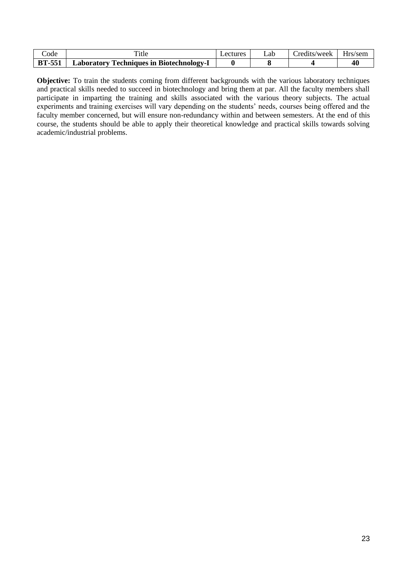| code          | Title                                           | Lectures | _ab | redits/week_ | Hrs/sem |
|---------------|-------------------------------------------------|----------|-----|--------------|---------|
| <b>BT-551</b> | <b>Laboratory Techniques in Biotechnology-I</b> |          |     |              | 40      |

**Objective:** To train the students coming from different backgrounds with the various laboratory techniques and practical skills needed to succeed in biotechnology and bring them at par. All the faculty members shall participate in imparting the training and skills associated with the various theory subjects. The actual experiments and training exercises will vary depending on the students' needs, courses being offered and the faculty member concerned, but will ensure non-redundancy within and between semesters. At the end of this course, the students should be able to apply their theoretical knowledge and practical skills towards solving academic/industrial problems.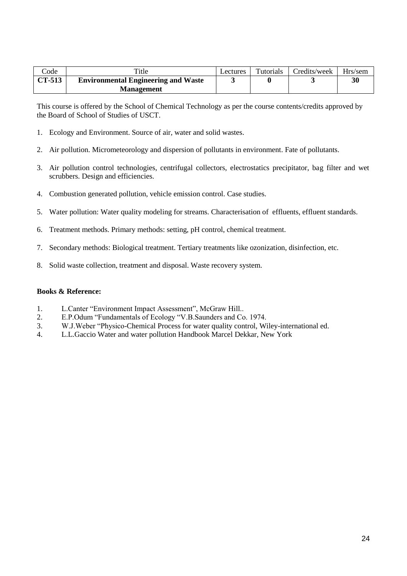| $\mathrm{Code}$ | Title                                      | Lectures | <b>Tutorials</b> | Credits/week | Hrs/sem |
|-----------------|--------------------------------------------|----------|------------------|--------------|---------|
| CT-513          | <b>Environmental Engineering and Waste</b> |          |                  |              | 30      |
|                 | <b>Management</b>                          |          |                  |              |         |

This course is offered by the School of Chemical Technology as per the course contents/credits approved by the Board of School of Studies of USCT.

- 1. Ecology and Environment. Source of air, water and solid wastes.
- 2. Air pollution. Micrometeorology and dispersion of pollutants in environment. Fate of pollutants.
- 3. Air pollution control technologies, centrifugal collectors, electrostatics precipitator, bag filter and wet scrubbers. Design and efficiencies.
- 4. Combustion generated pollution, vehicle emission control. Case studies.
- 5. Water pollution: Water quality modeling for streams. Characterisation of effluents, effluent standards.
- 6. Treatment methods. Primary methods: setting, pH control, chemical treatment.
- 7. Secondary methods: Biological treatment. Tertiary treatments like ozonization, disinfection, etc.
- 8. Solid waste collection, treatment and disposal. Waste recovery system.

#### **Books & Reference:**

- 1. L.Canter "Environment Impact Assessment", McGraw Hill..
- 2. E.P.Odum "Fundamentals of Ecology "V.B.Saunders and Co. 1974.
- 3. W.J.Weber "Physico-Chemical Process for water quality control, Wiley-international ed.
- 4. L.L.Gaccio Water and water pollution Handbook Marcel Dekkar, New York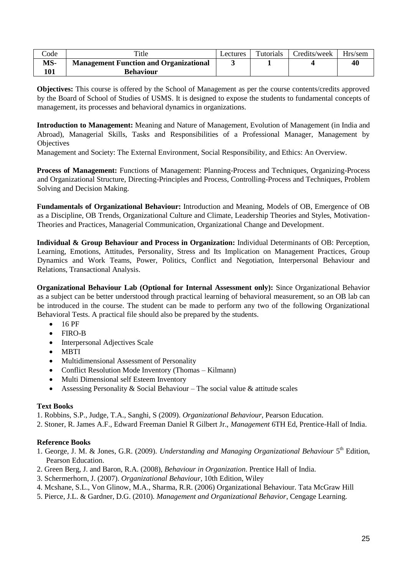| $\mathrm{Code}$ | Title                                         | Lectures | Tutorials | Credits/week | Hrs/sem |
|-----------------|-----------------------------------------------|----------|-----------|--------------|---------|
| MS-             | <b>Management Function and Organizational</b> |          |           |              | 40      |
| 101             | <b>Behaviour</b>                              |          |           |              |         |

**Objectives:** This course is offered by the School of Management as per the course contents/credits approved by the Board of School of Studies of USMS. It is designed to expose the students to fundamental concepts of management, its processes and behavioral dynamics in organizations.

**Introduction to Management:** Meaning and Nature of Management, Evolution of Management (in India and Abroad), Managerial Skills, Tasks and Responsibilities of a Professional Manager, Management by **Objectives** 

Management and Society: The External Environment, Social Responsibility, and Ethics: An Overview.

**Process of Management:** Functions of Management: Planning-Process and Techniques, Organizing-Process and Organizational Structure, Directing-Principles and Process, Controlling-Process and Techniques, Problem Solving and Decision Making.

**Fundamentals of Organizational Behaviour:** Introduction and Meaning, Models of OB, Emergence of OB as a Discipline, OB Trends, Organizational Culture and Climate, Leadership Theories and Styles, Motivation-Theories and Practices, Managerial Communication, Organizational Change and Development.

**Individual & Group Behaviour and Process in Organization:** Individual Determinants of OB: Perception, Learning, Emotions, Attitudes, Personality, Stress and Its Implication on Management Practices, Group Dynamics and Work Teams, Power, Politics, Conflict and Negotiation, Interpersonal Behaviour and Relations, Transactional Analysis.

**Organizational Behaviour Lab (Optional for Internal Assessment only):** Since Organizational Behavior as a subject can be better understood through practical learning of behavioral measurement, so an OB lab can be introduced in the course. The student can be made to perform any two of the following Organizational Behavioral Tests. A practical file should also be prepared by the students.

- $-16$  PF
- FIRO-B
- Interpersonal Adjectives Scale
- MBTI
- Multidimensional Assessment of Personality
- Conflict Resolution Mode Inventory (Thomas Kilmann)
- Multi Dimensional self Esteem Inventory
- Assessing Personality & Social Behaviour The social value  $\&$  attitude scales

# **Text Books**

1. Robbins, S.P., Judge, T.A., Sanghi, S (2009). *Organizational Behaviour*, Pearson Education.

2. Stoner, R. James A.F., Edward Freeman Daniel R Gilbert Jr., *Management* 6TH Ed, Prentice-Hall of India.

# **Reference Books**

- 1. George, J. M. & Jones, G.R. (2009). *Understanding and Managing Organizational Behaviour* 5<sup>th</sup> Edition, Pearson Education.
- 2. Green Berg, J. and Baron, R.A. (2008), *Behaviour in Organization*. Prentice Hall of India.
- 3. Schermerhorn, J. (2007). *Organizational Behaviour*, 10th Edition, Wiley
- 4. Mcshane, S.L., Von Glinow, M.A., Sharma, R.R. (2006) Organizational Behaviour. Tata McGraw Hill
- 5. Pierce, J.L. & Gardner, D.G. (2010). *Management and Organizational Behavior*, Cengage Learning.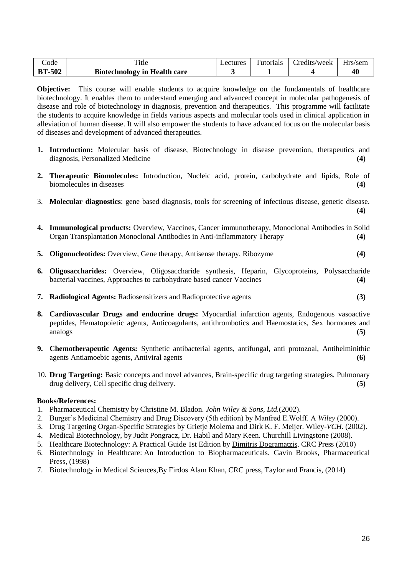| Code          | Title                               | Lectures | Tutorials | Credits/week | Hrs/sem |
|---------------|-------------------------------------|----------|-----------|--------------|---------|
| <b>BT-502</b> | <b>Biotechnology in Health care</b> |          |           |              | 40      |

**Objective:** This course will enable students to acquire knowledge on the fundamentals of healthcare biotechnology. It enables them to understand emerging and advanced concept in molecular pathogenesis of disease and role of biotechnology in diagnosis, prevention and therapeutics. This programme will facilitate the students to acquire knowledge in fields various aspects and molecular tools used in clinical application in alleviation of human disease. It will also empower the students to have advanced focus on the molecular basis of diseases and development of advanced therapeutics.

- **1. Introduction:** Molecular basis of disease, Biotechnology in disease prevention, therapeutics and diagnosis, Personalized Medicine **(4)**
- **2. Therapeutic Biomolecules:** Introduction, Nucleic acid, protein, carbohydrate and lipids, Role of biomolecules in diseases **(4)**
- 3. **Molecular diagnostics**: gene based diagnosis, tools for screening of infectious disease, genetic disease. **(4)**
- **4. Immunological products:** Overview, Vaccines, Cancer immunotherapy, Monoclonal Antibodies in Solid Organ Transplantation Monoclonal Antibodies in Anti-inflammatory Therapy **(4)**
- **5. Oligonucleotides:** Overview, Gene therapy, Antisense therapy, Ribozyme **(4)**
- **6. Oligosaccharides:** Overview, Oligosaccharide synthesis, Heparin, Glycoproteins, Polysaccharide bacterial vaccines, Approaches to carbohydrate based cancer Vaccines **(4)**
- **7. Radiological Agents:** Radiosensitizers and Radioprotective agents **(3)**
- **8. Cardiovascular Drugs and endocrine drugs:** Myocardial infarction agents, Endogenous vasoactive peptides, Hematopoietic agents, Anticoagulants, antithrombotics and Haemostatics, Sex hormones and analogs **(5)**
- **9. Chemotherapeutic Agents:** Synthetic antibacterial agents, antifungal, anti protozoal, Antihelminithic agents Antiamoebic agents, Antiviral agents **(6)**
- 10. **Drug Targeting:** Basic concepts and novel advances, Brain-specific drug targeting strategies, Pulmonary drug delivery, Cell specific drug delivery. **(5)**

- 1. Pharmaceutical Chemistry by Christine M. Bladon. *John Wiley & Sons, Ltd.*(2002).
- 2. Burger's Medicinal Chemistry and Drug Discovery (5th edition) by Manfred E.Wolff. A *Wiley* (2000).
- 3. Drug Targeting Organ-Specific Strategies by Grietje Molema and Dirk K. F. Meijer. Wiley-*VCH*. (2002).
- 4. Medical Biotechnology, by [Judit Pongracz,](http://www.amazon.in/s/ref=dp_byline_sr_book_1?ie=UTF8&field-author=Judit+Pongracz+BSc++PhD++DrHabil&search-alias=stripbooks) Dr. Habil and [Mary Keen.](http://www.amazon.in/s/ref=dp_byline_sr_book_2?ie=UTF8&field-author=Mary+Keen+BSc++PhD&search-alias=stripbooks) Churchill Livingstone (2008).
- 5. Healthcare Biotechnology: A Practical Guide 1st Edition by [Dimitris Dogramatzis.](http://www.amazon.com/Dimitris-Dogramatzis/e/B001K8K4V6/ref=dp_byline_cont_book_1) CRC Press (2010)
- 6. Biotechnology in Healthcare: An Introduction to Biopharmaceuticals. Gavin Brooks, Pharmaceutical Press, (1998)
- 7. Biotechnology in Medical Sciences,By Firdos Alam Khan, CRC press, Taylor and Francis, (2014)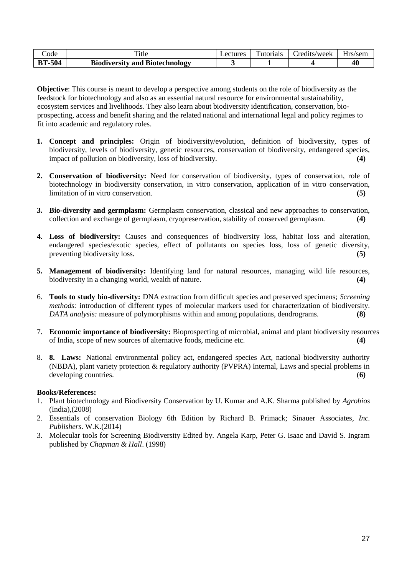| Code          | `itle                                 | <i>_ectures</i> | $\mathbf{r}$<br>Futorials | redits/week_ | $ -$<br>Hrs/sem |
|---------------|---------------------------------------|-----------------|---------------------------|--------------|-----------------|
| <b>BT-504</b> | <b>Biodiversity and Biotechnology</b> |                 |                           |              | 40              |

**Objective**: This course is meant to develop a perspective among students on the role of biodiversity as the feedstock for biotechnology and also as an essential natural resource for environmental sustainability, ecosystem services and livelihoods. They also learn about biodiversity identification, conservation, bioprospecting, access and benefit sharing and the related national and international legal and policy regimes to fit into academic and regulatory roles.

- **1. Concept and principles:** Origin of biodiversity/evolution, definition of biodiversity, types of biodiversity, levels of biodiversity, genetic resources, conservation of biodiversity, endangered species, impact of pollution on biodiversity, loss of biodiversity. **(4)**
- **2. Conservation of biodiversity:** Need for conservation of biodiversity, types of conservation, role of biotechnology in biodiversity conservation, in vitro conservation, application of in vitro conservation, limitation of in vitro conservation. **(5)**
- **3. Bio-diversity and germplasm:** Germplasm conservation, classical and new approaches to conservation, collection and exchange of germplasm, cryopreservation, stability of conserved germplasm. **(4)**
- **4. Loss of biodiversity:** Causes and consequences of biodiversity loss, habitat loss and alteration, endangered species/exotic species, effect of pollutants on species loss, loss of genetic diversity, preventing biodiversity loss. **(5)**
- **5. Management of biodiversity:** Identifying land for natural resources, managing wild life resources, biodiversity in a changing world, wealth of nature. **(4)**
- 6. **Tools to study bio-diversity:** DNA extraction from difficult species and preserved specimens; *Screening methods:* introduction of different types of molecular markers used for characterization of biodiversity. *DATA analysis:* measure of polymorphisms within and among populations, dendrograms. **(8)**
- 7. **Economic importance of biodiversity:** Bioprospecting of microbial, animal and plant biodiversity resources of India, scope of new sources of alternative foods, medicine etc. **(4)**
- 8. **8. Laws:** National environmental policy act, endangered species Act, national biodiversity authority (NBDA), plant variety protection & regulatory authority (PVPRA) Internal, Laws and special problems in developing countries. (**6)**

- 1. Plant biotechnology and Biodiversity Conservation by U. Kumar and A.K. Sharma published by *Agrobios* (India),(2008)
- 2. Essentials of conservation Biology 6th Edition by Richard B. Primack; Sinauer Associates*, Inc. Publishers*. W.K.(2014)
- 3. Molecular tools for Screening Biodiversity Edited by. Angela Karp, Peter G. Isaac and David S. Ingram published by *Chapman & Hall*. (1998)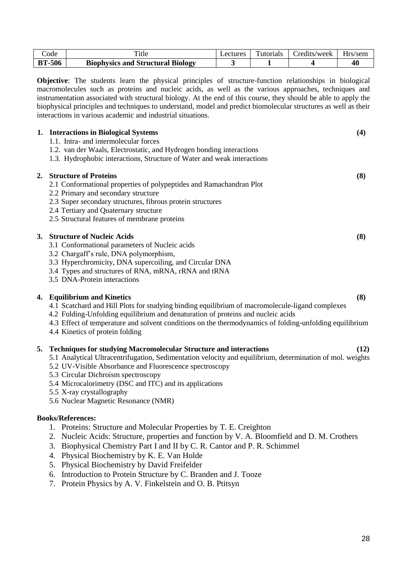| code          | `itle                                    | <b>Lectures</b> | Tutorials | Credits/week | Hrs/sem |
|---------------|------------------------------------------|-----------------|-----------|--------------|---------|
| <b>BT-506</b> | <b>Biophysics and Structural Biology</b> |                 |           |              | 40      |

**Objective**: The students learn the physical principles of structure-function relationships in biological macromolecules such as proteins and nucleic acids, as well as the various approaches, techniques and instrumentation associated with structural biology. At the end of this course, they should be able to apply the biophysical principles and techniques to understand, model and predict biomolecular structures as well as their interactions in various academic and industrial situations.

|    | 1. Interactions in Biological Systems<br>1.1. Intra- and intermolecular forces<br>1.2. van der Waals, Electrostatic, and Hydrogen bonding interactions<br>1.3. Hydrophobic interactions, Structure of Water and weak interactions                                                                                                                                                                                       | (4)  |
|----|-------------------------------------------------------------------------------------------------------------------------------------------------------------------------------------------------------------------------------------------------------------------------------------------------------------------------------------------------------------------------------------------------------------------------|------|
| 2. | <b>Structure of Proteins</b><br>2.1 Conformational properties of polypeptides and Ramachandran Plot<br>2.2 Primary and secondary structure<br>2.3 Super secondary structures, fibrous protein structures<br>2.4 Tertiary and Quaternary structure<br>2.5 Structural features of membrane proteins                                                                                                                       | (8)  |
|    | 3. Structure of Nucleic Acids<br>3.1 Conformational parameters of Nucleic acids<br>3.2 Chargaff's rule, DNA polymorphism,<br>3.3 Hyperchromicity, DNA supercoiling, and Circular DNA<br>3.4 Types and structures of RNA, mRNA, rRNA and tRNA<br>3.5 DNA-Protein interactions                                                                                                                                            | (8)  |
|    | 4. Equilibrium and Kinetics<br>4.1 Scatchard and Hill Plots for studying binding equilibrium of macromolecule-ligand complexes<br>4.2 Folding-Unfolding equilibrium and denaturation of proteins and nucleic acids<br>4.3 Effect of temperature and solvent conditions on the thermodynamics of folding-unfolding equilibrium<br>4.4 Kinetics of protein folding                                                        | (8)  |
| 5. | <b>Techniques for studying Macromolecular Structure and interactions</b><br>5.1 Analytical Ultracentrifugation, Sedimentation velocity and equilibrium, determination of mol. weights<br>5.2 UV-Visible Absorbance and Fluorescence spectroscopy<br>5.3 Circular Dichroism spectroscopy<br>5.4 Microcalorimetry (DSC and ITC) and its applications<br>5.5 X-ray crystallography<br>5.6 Nuclear Magnetic Resonance (NMR) | (12) |
|    | <b>Books/References:</b>                                                                                                                                                                                                                                                                                                                                                                                                |      |
|    | 1. Proteins: Structure and Molecular Properties by T. E. Creighton                                                                                                                                                                                                                                                                                                                                                      |      |

- 2. Nucleic Acids: Structure, properties and function by V. A. Bloomfield and D. M. Crothers
- 3. Biophysical Chemistry Part I and II by C. R. Cantor and P. R. Schimmel
- 4. Physical Biochemistry by K. E. Van Holde
- 5. Physical Biochemistry by David Freifelder
- 6. Introduction to Protein Structure by C. Branden and J. Tooze
- 7. Protein Physics by A. V. Finkelstein and O. B. Ptitsyn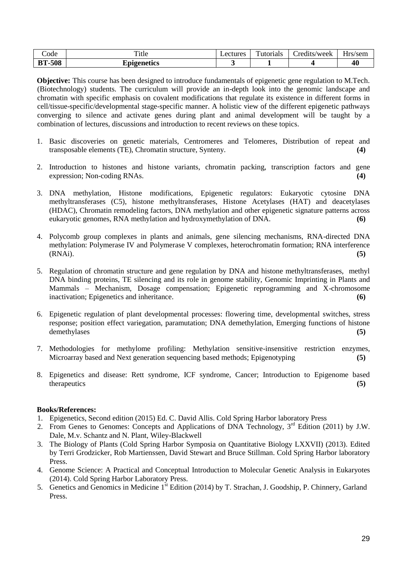| code              | m.<br><sup>1</sup> tle | <i>L</i> ectures | $\overline{\phantom{a}}$<br>utorials | redits/week_ | $-$<br>Hrs.<br>/sem<br>. . |
|-------------------|------------------------|------------------|--------------------------------------|--------------|----------------------------|
| -508<br>DТ<br>D L | Ipigenetics            |                  |                                      |              | 40                         |

**Objective:** This course has been designed to introduce fundamentals of epigenetic gene regulation to M.Tech. (Biotechnology) students. The curriculum will provide an in-depth look into the genomic landscape and chromatin with specific emphasis on covalent modifications that regulate its existence in different forms in cell/tissue-specific/developmental stage-specific manner. A holistic view of the different epigenetic pathways converging to silence and activate genes during plant and animal development will be taught by a combination of lectures, discussions and introduction to recent reviews on these topics.

- 1. Basic discoveries on genetic materials, Centromeres and Telomeres, Distribution of repeat and transposable elements (TE), Chromatin structure, Synteny. **(4)**
- 2. Introduction to histones and histone variants, chromatin packing, transcription factors and gene expression; Non-coding RNAs. **(4)**
- 3. DNA methylation, Histone modifications, Epigenetic regulators: Eukaryotic cytosine DNA methyltransferases (C5), histone methyltransferases, Histone Acetylases (HAT) and deacetylases (HDAC), Chromatin remodeling factors, DNA methylation and other epigenetic signature patterns across eukaryotic genomes, RNA methylation and hydroxymethylation of DNA. **(6)**
- 4. Polycomb group complexes in plants and animals, gene silencing mechanisms, RNA-directed DNA methylation: Polymerase IV and Polymerase V complexes, heterochromatin formation; RNA interference (RNAi). **(5)**
- 5. Regulation of chromatin structure and gene regulation by DNA and histone methyltransferases, methyl DNA binding proteins, TE silencing and its role in genome stability, Genomic Imprinting in Plants and Mammals – Mechanism, Dosage compensation; Epigenetic reprogramming and X-chromosome inactivation; Epigenetics and inheritance. **(6)**
- 6. Epigenetic regulation of plant developmental processes: flowering time, developmental switches, stress response; position effect variegation, paramutation; DNA demethylation, Emerging functions of histone demethylases **(5)**
- 7. Methodologies for methylome profiling: Methylation sensitive-insensitive restriction enzymes, Microarray based and Next generation sequencing based methods; Epigenotyping **(5)**
- 8. Epigenetics and disease: Rett syndrome, ICF syndrome, Cancer; Introduction to Epigenome based therapeutics **(5)**

- 1. Epigenetics, Second edition (2015) Ed. C. David Allis. Cold Spring Harbor laboratory Press
- 2. From Genes to Genomes: Concepts and Applications of DNA Technology,  $3<sup>rd</sup>$  Edition (2011) by J.W. Dale, M.v. Schantz and N. Plant, Wiley-Blackwell
- 3. The Biology of Plants (Cold Spring Harbor Symposia on Quantitative Biology LXXVII) (2013). Edited by Terri Grodzicker, Rob Martienssen, David Stewart and Bruce Stillman. Cold Spring Harbor laboratory Press.
- 4. Genome Science: A Practical and Conceptual Introduction to Molecular Genetic Analysis in Eukaryotes (2014). Cold Spring Harbor Laboratory Press.
- 5. Genetics and Genomics in Medicine 1<sup>st</sup> Edition (2014) by T. Strachan, J. Goodship, P. Chinnery, Garland Press.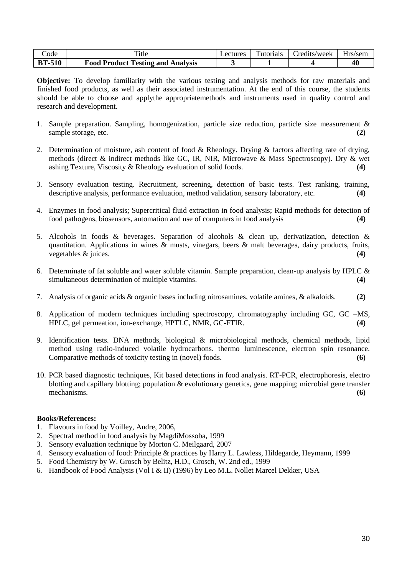| code          | ᠇᠇᠃<br><sup>1</sup> tle                  | <i>_</i> ectures_ | Futorials | redits/week | Hrs/sem |
|---------------|------------------------------------------|-------------------|-----------|-------------|---------|
| <b>BT-510</b> | <b>Food Product Testing and Analysis</b> |                   |           |             | 40      |

**Objective:** To develop familiarity with the various testing and analysis methods for raw materials and finished food products, as well as their associated instrumentation. At the end of this course, the students should be able to choose and applythe appropriatemethods and instruments used in quality control and research and development.

- 1. Sample preparation. Sampling, homogenization, particle size reduction, particle size measurement & sample storage, etc. **(2)**
- 2. Determination of moisture, ash content of food & Rheology. Drying & factors affecting rate of drying, methods (direct & indirect methods like GC, IR, NIR, Microwave & Mass Spectroscopy). Dry & wet ashing Texture, Viscosity & Rheology evaluation of solid foods. **(4)**
- 3. Sensory evaluation testing. Recruitment, screening, detection of basic tests. Test ranking, training, descriptive analysis, performance evaluation, method validation, sensory laboratory, etc. **(4)**
- 4. Enzymes in food analysis; Supercritical fluid extraction in food analysis; Rapid methods for detection of food pathogens, biosensors, automation and use of computers in food analysis **(4)**
- 5. Alcohols in foods & beverages. Separation of alcohols & clean up, derivatization, detection & quantitation. Applications in wines  $\&$  musts, vinegars, beers  $\&$  malt beverages, dairy products, fruits, vegetables & juices. **(4)**
- 6. Determinate of fat soluble and water soluble vitamin. Sample preparation, clean-up analysis by HPLC & simultaneous determination of multiple vitamins. **(4)** (4)
- 7. Analysis of organic acids & organic bases including nitrosamines, volatile amines, & alkaloids. **(2)**
- 8. Application of modern techniques including spectroscopy, chromatography including GC, GC –MS, HPLC, gel permeation, ion-exchange, HPTLC, NMR, GC-FTIR. **(4)**
- 9. Identification tests. DNA methods, biological & microbiological methods, chemical methods, lipid method using radio-induced volatile hydrocarbons. thermo luminescence, electron spin resonance. Comparative methods of toxicity testing in (novel) foods. **(6)**
- 10. PCR based diagnostic techniques, Kit based detections in food analysis. RT-PCR, electrophoresis, electro blotting and capillary blotting; population & evolutionary genetics, gene mapping; microbial gene transfer mechanisms. **(6)**

- 1. Flavours in food by Voilley, Andre, 2006,
- 2. Spectral method in food analysis by MagdiMossoba, 1999
- 3. Sensory evaluation technique by Morton C. Meilgaard, 2007
- 4. Sensory evaluation of food: Principle & practices by Harry L. Lawless, Hildegarde, Heymann, 1999
- 5. Food Chemistry by W. Grosch by Belitz, H.D., Grosch, W. 2nd ed., 1999
- 6. Handbook of Food Analysis (Vol I & II) (1996) by Leo M.L. Nollet Marcel Dekker, USA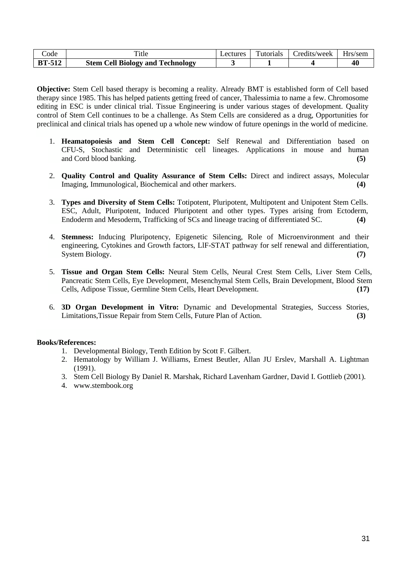| code          | 1tle                                         | ectures | `utorials | redits/week | Hrs/sem. |
|---------------|----------------------------------------------|---------|-----------|-------------|----------|
| <b>BT-512</b> | <b>Cell Biology and Technology</b><br>Stem ( |         |           |             |          |

**Objective:** Stem Cell based therapy is becoming a reality. Already BMT is established form of Cell based therapy since 1985. This has helped patients getting freed of cancer, Thalessimia to name a few. Chromosome editing in ESC is under clinical trial. Tissue Engineering is under various stages of development. Quality control of Stem Cell continues to be a challenge. As Stem Cells are considered as a drug, Opportunities for preclinical and clinical trials has opened up a whole new window of future openings in the world of medicine.

- 1. **Heamatopoiesis and Stem Cell Concept:** Self Renewal and Differentiation based on CFU-S, Stochastic and Deterministic cell lineages. Applications in mouse and human and Cord blood banking. **(5)**
- 2. **Quality Control and Quality Assurance of Stem Cells:** Direct and indirect assays, Molecular Imaging, Immunological, Biochemical and other markers. **(4)**
- 3. **Types and Diversity of Stem Cells:** Totipotent, Pluripotent, Multipotent and Unipotent Stem Cells. ESC, Adult, Pluripotent, Induced Pluripotent and other types. Types arising from Ectoderm, Endoderm and Mesoderm, Trafficking of SCs and lineage tracing of differentiated SC. **(4)**
- 4. **Stemness:** Inducing Pluripotency, Epigenetic Silencing, Role of Microenvironment and their engineering, Cytokines and Growth factors, LlF-STAT pathway for self renewal and differentiation, System Biology. **(7)** (7)
- 5. **Tissue and Organ Stem Cells:** Neural Stem Cells, Neural Crest Stem Cells, Liver Stem Cells, Pancreatic Stem Cells, Eye Development, Mesenchymal Stem Cells, Brain Development, Blood Stem Cells, Adipose Tissue, Germline Stem Cells, Heart Development. **(17)**
- 6. **3D Organ Development in Vitro:** Dynamic and Developmental Strategies, Success Stories, Limitations,Tissue Repair from Stem Cells, Future Plan of Action. **(3)**

- 1. Developmental Biology, Tenth Edition by Scott F. Gilbert.
- 2. Hematology by William J. Williams, Ernest Beutler, Allan JU Erslev, Marshall A. Lightman (1991).
- 3. Stem Cell Biology By Daniel R. Marshak, Richard Lavenham Gardner, David I. Gottlieb (2001).
- 4. www.stembook.org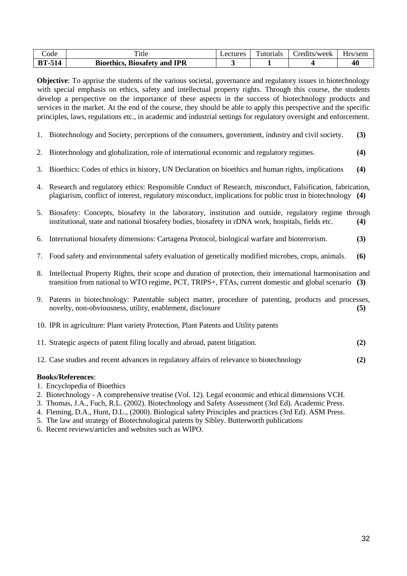| code          | m.<br>`itle                                   | <i>L</i> ectures | —<br>utorials | redits/week_ | Hrs/sem |
|---------------|-----------------------------------------------|------------------|---------------|--------------|---------|
| <b>BT-514</b> | <b>IPR</b><br><b>Bioethics, Biosafety and</b> |                  |               |              | 40      |

**Objective**: To apprise the students of the various societal, governance and regulatory issues in biotechnology with special emphasis on ethics, safety and intellectual property rights. Through this course, the students develop a perspective on the importance of these aspects in the success of biotechnology products and services in the market. At the end of the course, they should be able to apply this perspective and the specific principles, laws, regulations etc., in academic and industrial settings for regulatory oversight and enforcement.

- 1. Biotechnology and Society, perceptions of the consumers, government, industry and civil society. **(3)**
- 2. Biotechnology and globalization, role of international economic and regulatory regimes. **(4)**
- 3. Bioethics: Codes of ethics in history, UN Declaration on bioethics and human rights, implications **(4)**
- 4. Research and regulatory ethics: Responsible Conduct of Research, misconduct, Falsification, fabrication, plagiarism, conflict of interest, regulatory misconduct, implications for public trust in biotechnology **(4)**
- 5. Biosafety: Concepts, biosafety in the laboratory, institution and outside, regulatory regime through institutional, state and national biosafety bodies, biosafety in rDNA work, hospitals, fields etc. **(4)**
- 6. International biosafety dimensions: Cartagena Protocol, biological warfare and bioterrorism. **(3)**
- 7. Food safety and environmental safety evaluation of genetically modified microbes, crops, animals. **(6)**
- 8. Intellectual Property Rights, their scope and duration of protection, their international harmonisation and transition from national to WTO regime, PCT, TRIPS+, FTAs, current domestic and global scenario **(3)**
- 9. Patents in biotechnology: Patentable subject matter, procedure of patenting, products and processes, novelty, non-obviousness, utility, enablement, disclosure **(5)**
- 10. IPR in agriculture: Plant variety Protection, Plant Patents and Utility patents
- 11. Strategic aspects of patent filing locally and abroad, patent litigation. **(2)**
- 12. Case studies and recent advances in regulatory affairs of relevance to biotechnology **(2)**

- 1. Encyclopedia of Bioethics
- 2. Biotechnology A comprehensive treatise (Vol. 12). Legal economic and ethical dimensions VCH.
- 3. Thomas, J.A., Fuch, R.L. (2002). Biotechnology and Safety Assessment (3rd Ed). Academic Press.
- 4. Fleming, D.A., Hunt, D.L., (2000). Biological safety Principles and practices (3rd Ed). ASM Press.
- 5. The law and strategy of Biotechnological patents by Sibley. Butterworth publications
- 6. Recent reviews/articles and websites such as WIPO.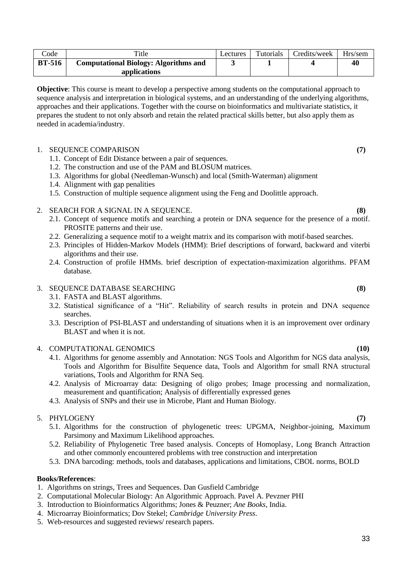**BT-516 Computational Biology: Algorithms and applications 3 1 4 40 Objective**: This course is meant to develop a perspective among students on the computational approach to

Code Title Title Lectures Tutorials Credits/week Hrs/sem

sequence analysis and interpretation in biological systems, and an understanding of the underlying algorithms, approaches and their applications. Together with the course on bioinformatics and multivariate statistics, it prepares the student to not only absorb and retain the related practical skills better, but also apply them as needed in academia/industry.

# 1. SEQUENCE COMPARISON **(7)**

- 1.1. Concept of Edit Distance between a pair of sequences.
- 1.2. The construction and use of the PAM and BLOSUM matrices.
- 1.3. Algorithms for global (Needleman-Wunsch) and local (Smith-Waterman) alignment
- 1.4. Alignment with gap penalities
- 1.5. Construction of multiple sequence alignment using the Feng and Doolittle approach.

# 2. SEARCH FOR A SIGNAL IN A SEQUENCE. **(8)**

- 2.1. Concept of sequence motifs and searching a protein or DNA sequence for the presence of a motif. PROSITE patterns and their use.
- 2.2. Generalizing a sequence motif to a weight matrix and its comparison with motif-based searches.
- 2.3. Principles of Hidden-Markov Models (HMM): Brief descriptions of forward, backward and viterbi algorithms and their use.
- 2.4. Construction of profile HMMs. brief description of expectation-maximization algorithms. PFAM database.

# 3. SEQUENCE DATABASE SEARCHING **(8)**

- 3.1. FASTA and BLAST algorithms.
- 3.2. Statistical significance of a "Hit". Reliability of search results in protein and DNA sequence searches.
- 3.3. Description of PSI-BLAST and understanding of situations when it is an improvement over ordinary BLAST and when it is not.

#### 4. COMPUTATIONAL GENOMICS **(10)**

- 4.1. Algorithms for genome assembly and Annotation: NGS Tools and Algorithm for NGS data analysis, Tools and Algorithm for Bisulfite Sequence data, Tools and Algorithm for small RNA structural variations, Tools and Algorithm for RNA Seq.
- 4.2. Analysis of Microarray data: Designing of oligo probes; Image processing and normalization, measurement and quantification; Analysis of differentially expressed genes
- 4.3. Analysis of SNPs and their use in Microbe, Plant and Human Biology.

### 5. PHYLOGENY **(7)**

- 5.1. Algorithms for the construction of phylogenetic trees: UPGMA, Neighbor-joining, Maximum Parsimony and Maximum Likelihood approaches.
- 5.2. Reliability of Phylogenetic Tree based analysis. Concepts of Homoplasy, Long Branch Attraction and other commonly encountered problems with tree construction and interpretation
- 5.3. DNA barcoding: methods, tools and databases, applications and limitations, CBOL norms, BOLD

- 1. Algorithms on strings, Trees and Sequences. Dan Gusfield Cambridge
- 2. Computational Molecular Biology: An Algorithmic Approach. Pavel A. Pevzner PHI
- 3. Introduction to Bioinformatics Algorithms; Jones & Peuzner; *Ane Books*, India.
- 4. Microarray Bioinformatics; Dov Stekel; *Cambridge University Press*.
- 5. Web-resources and suggested reviews/ research papers.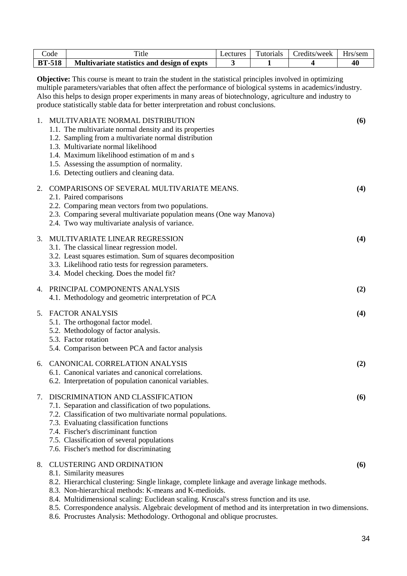|             | Code                                                                                                                                                                                                                                                                                                                                                                                                                                | Title                                                                                                                                                                                                                                                                                                                                     | Lectures | Tutorials | Credits/week | Hrs/sem |  |  |
|-------------|-------------------------------------------------------------------------------------------------------------------------------------------------------------------------------------------------------------------------------------------------------------------------------------------------------------------------------------------------------------------------------------------------------------------------------------|-------------------------------------------------------------------------------------------------------------------------------------------------------------------------------------------------------------------------------------------------------------------------------------------------------------------------------------------|----------|-----------|--------------|---------|--|--|
|             | <b>BT-518</b>                                                                                                                                                                                                                                                                                                                                                                                                                       | Multivariate statistics and design of expts                                                                                                                                                                                                                                                                                               | 3        | 1         | 4            | 40      |  |  |
|             | <b>Objective:</b> This course is meant to train the student in the statistical principles involved in optimizing<br>multiple parameters/variables that often affect the performance of biological systems in academics/industry.<br>Also this helps to design proper experiments in many areas of biotechnology, agriculture and industry to<br>produce statistically stable data for better interpretation and robust conclusions. |                                                                                                                                                                                                                                                                                                                                           |          |           |              |         |  |  |
| $1_{\cdot}$ |                                                                                                                                                                                                                                                                                                                                                                                                                                     | MULTIVARIATE NORMAL DISTRIBUTION<br>1.1. The multivariate normal density and its properties<br>1.2. Sampling from a multivariate normal distribution<br>1.3. Multivariate normal likelihood<br>1.4. Maximum likelihood estimation of m and s<br>1.5. Assessing the assumption of normality.<br>1.6. Detecting outliers and cleaning data. |          |           |              | (6)     |  |  |
| 2.          |                                                                                                                                                                                                                                                                                                                                                                                                                                     | COMPARISONS OF SEVERAL MULTIVARIATE MEANS.<br>2.1. Paired comparisons<br>2.2. Comparing mean vectors from two populations.<br>2.3. Comparing several multivariate population means (One way Manova)<br>2.4. Two way multivariate analysis of variance.                                                                                    |          |           |              | (4)     |  |  |
| 3.          |                                                                                                                                                                                                                                                                                                                                                                                                                                     | MULTIVARIATE LINEAR REGRESSION<br>3.1. The classical linear regression model.<br>3.2. Least squares estimation. Sum of squares decomposition<br>3.3. Likelihood ratio tests for regression parameters.<br>3.4. Model checking. Does the model fit?                                                                                        |          |           |              | (4)     |  |  |
| 4.          |                                                                                                                                                                                                                                                                                                                                                                                                                                     | PRINCIPAL COMPONENTS ANALYSIS<br>4.1. Methodology and geometric interpretation of PCA                                                                                                                                                                                                                                                     |          |           |              | (2)     |  |  |
| 5.          |                                                                                                                                                                                                                                                                                                                                                                                                                                     | <b>FACTOR ANALYSIS</b><br>5.1. The orthogonal factor model.<br>5.2. Methodology of factor analysis.<br>5.3. Factor rotation<br>5.4. Comparison between PCA and factor analysis                                                                                                                                                            |          |           |              | (4)     |  |  |
| 6.          |                                                                                                                                                                                                                                                                                                                                                                                                                                     | <b>CANONICAL CORRELATION ANALYSIS</b><br>6.1. Canonical variates and canonical correlations.<br>6.2. Interpretation of population canonical variables.                                                                                                                                                                                    |          |           |              | (2)     |  |  |
| 7.          |                                                                                                                                                                                                                                                                                                                                                                                                                                     | DISCRIMINATION AND CLASSIFICATION<br>7.1. Separation and classification of two populations.<br>7.2. Classification of two multivariate normal populations.<br>7.3. Evaluating classification functions<br>7.4. Fischer's discriminant function<br>7.5. Classification of several populations<br>7.6. Fischer's method for discriminating  |          |           |              | (6)     |  |  |
| 8.          |                                                                                                                                                                                                                                                                                                                                                                                                                                     | <b>CLUSTERING AND ORDINATION</b><br>8.1. Similarity measures<br>8.2. Hierarchical clustering: Single linkage, complete linkage and average linkage methods.<br>8.3. Non-hierarchical methods: K-means and K-medioids.                                                                                                                     |          |           |              | (6)     |  |  |

- 8.4. Multidimensional scaling: Euclidean scaling. Kruscal's stress function and its use.
- 8.5. Correspondence analysis. Algebraic development of method and its interpretation in two dimensions.
- 8.6. Procrustes Analysis: Methodology. Orthogonal and oblique procrustes.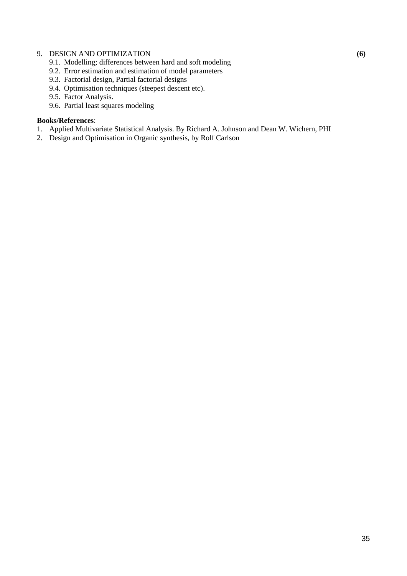# 9. DESIGN AND OPTIMIZATION **(6)**

- 9.1. Modelling; differences between hard and soft modeling
- 9.2. Error estimation and estimation of model parameters
- 9.3. Factorial design, Partial factorial designs
- 9.4. Optimisation techniques (steepest descent etc).
- 9.5. Factor Analysis.
- 9.6. Partial least squares modeling

- 1. Applied Multivariate Statistical Analysis. By Richard A. Johnson and Dean W. Wichern, PHI
- 2. Design and Optimisation in Organic synthesis, by Rolf Carlson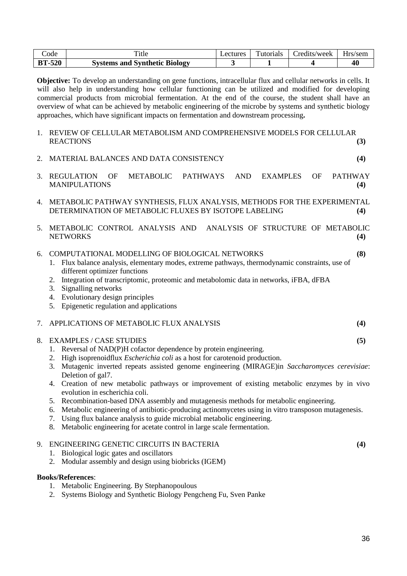| ode           | <sup>1</sup> tle                     | ectures_ | Tutorials | redits/week_ | Hrs/sem |
|---------------|--------------------------------------|----------|-----------|--------------|---------|
| <b>BT-520</b> | <b>Systems and Synthetic Biology</b> |          |           |              | 40      |

**Objective:** To develop an understanding on gene functions, intracellular flux and cellular networks in cells. It will also help in understanding how cellular functioning can be utilized and modified for developing commercial products from microbial fermentation. At the end of the course, the student shall have an overview of what can be achieved by metabolic engineering of the microbe by systems and synthetic biology approaches, which have significant impacts on fermentation and downstream processing**.**

1. REVIEW OF CELLULAR METABOLISM AND COMPREHENSIVE MODELS FOR CELLULAR REACTIONS **(3)** 2. MATERIAL BALANCES AND DATA CONSISTENCY **(4)** 3. REGULATION OF METABOLIC PATHWAYS AND EXAMPLES OF PATHWAY MANIPULATIONS **(4)** 4. METABOLIC PATHWAY SYNTHESIS, FLUX ANALYSIS, METHODS FOR THE EXPERIMENTAL DETERMINATION OF METABOLIC FLUXES BY ISOTOPE LABELING **(4)** 5. METABOLIC CONTROL ANALYSIS AND ANALYSIS OF STRUCTURE OF METABOLIC NETWORKS **(4)** 6. COMPUTATIONAL MODELLING OF BIOLOGICAL NETWORKS **(8)** 1. Flux balance analysis, elementary modes, extreme pathways, thermodynamic constraints, use of different optimizer functions 2. Integration of transcriptomic, proteomic and metabolomic data in networks, iFBA, dFBA 3. Signalling networks 4. Evolutionary design principles 5. Epigenetic regulation and applications 7. APPLICATIONS OF METABOLIC FLUX ANALYSIS **(4)** 8. EXAMPLES / CASE STUDIES **(5)** 1. Reversal of NAD(P)H cofactor dependence by protein engineering. 2. High isoprenoidflux *Escherichia coli* as a host for carotenoid production. 3. Mutagenic inverted repeats assisted genome engineering (MIRAGE)in *Saccharomyces cerevisiae*: Deletion of gal7. 4. Creation of new metabolic pathways or improvement of existing metabolic enzymes by in vivo evolution in escherichia coli. 5. Recombination-based DNA assembly and mutagenesis methods for metabolic engineering. 6. Metabolic engineering of antibiotic-producing actinomycetes using in vitro transposon mutagenesis. 7. Using flux balance analysis to guide microbial metabolic engineering. 8. Metabolic engineering for acetate control in large scale fermentation.

### 9. ENGINEERING GENETIC CIRCUITS IN BACTERIA **(4)**

- 1. Biological logic gates and oscillators
- 2. Modular assembly and design using biobricks (IGEM)

- 1. Metabolic Engineering. By Stephanopoulous
- 2. Systems Biology and Synthetic Biology Pengcheng Fu, Sven Panke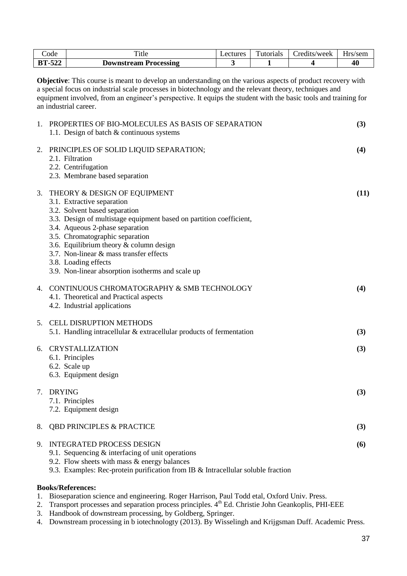|                                                                                                                                                                                                                                                                                                                                                                          | Code          | Title                                                                                                                                                                                                                                                                                                                                                                                                         | Lectures | Tutorials | Credits/week | Hrs/sem |
|--------------------------------------------------------------------------------------------------------------------------------------------------------------------------------------------------------------------------------------------------------------------------------------------------------------------------------------------------------------------------|---------------|---------------------------------------------------------------------------------------------------------------------------------------------------------------------------------------------------------------------------------------------------------------------------------------------------------------------------------------------------------------------------------------------------------------|----------|-----------|--------------|---------|
|                                                                                                                                                                                                                                                                                                                                                                          | <b>BT-522</b> | <b>Downstream Processing</b>                                                                                                                                                                                                                                                                                                                                                                                  | 3        | 1         | 4            | 40      |
| <b>Objective:</b> This course is meant to develop an understanding on the various aspects of product recovery with<br>a special focus on industrial scale processes in biotechnology and the relevant theory, techniques and<br>equipment involved, from an engineer's perspective. It equips the student with the basic tools and training for<br>an industrial career. |               |                                                                                                                                                                                                                                                                                                                                                                                                               |          |           |              |         |
| 1.                                                                                                                                                                                                                                                                                                                                                                       |               | PROPERTIES OF BIO-MOLECULES AS BASIS OF SEPARATION<br>1.1. Design of batch & continuous systems                                                                                                                                                                                                                                                                                                               |          |           |              | (3)     |
| 2.                                                                                                                                                                                                                                                                                                                                                                       |               | PRINCIPLES OF SOLID LIQUID SEPARATION;<br>2.1. Filtration<br>2.2. Centrifugation<br>2.3. Membrane based separation                                                                                                                                                                                                                                                                                            |          |           |              | (4)     |
| 3.                                                                                                                                                                                                                                                                                                                                                                       |               | THEORY & DESIGN OF EQUIPMENT<br>3.1. Extractive separation<br>3.2. Solvent based separation<br>3.3. Design of multistage equipment based on partition coefficient,<br>3.4. Aqueous 2-phase separation<br>3.5. Chromatographic separation<br>3.6. Equilibrium theory $&$ column design<br>3.7. Non-linear & mass transfer effects<br>3.8. Loading effects<br>3.9. Non-linear absorption isotherms and scale up |          |           |              | (11)    |
| 4.                                                                                                                                                                                                                                                                                                                                                                       |               | CONTINUOUS CHROMATOGRAPHY & SMB TECHNOLOGY<br>4.1. Theoretical and Practical aspects<br>4.2. Industrial applications                                                                                                                                                                                                                                                                                          |          |           |              | (4)     |
| 5.                                                                                                                                                                                                                                                                                                                                                                       |               | <b>CELL DISRUPTION METHODS</b><br>5.1. Handling intracellular & extracellular products of fermentation                                                                                                                                                                                                                                                                                                        |          |           |              | (3)     |
| 6.                                                                                                                                                                                                                                                                                                                                                                       |               | <b>CRYSTALLIZATION</b><br>6.1. Principles<br>6.2. Scale up<br>6.3. Equipment design                                                                                                                                                                                                                                                                                                                           |          |           |              | (3)     |
| 7.                                                                                                                                                                                                                                                                                                                                                                       | <b>DRYING</b> | 7.1. Principles<br>7.2. Equipment design                                                                                                                                                                                                                                                                                                                                                                      |          |           |              | (3)     |
| 8.                                                                                                                                                                                                                                                                                                                                                                       |               | <b>QBD PRINCIPLES &amp; PRACTICE</b>                                                                                                                                                                                                                                                                                                                                                                          |          |           |              | (3)     |
| 9.                                                                                                                                                                                                                                                                                                                                                                       |               | <b>INTEGRATED PROCESS DESIGN</b><br>9.1. Sequencing $&$ interfacing of unit operations<br>9.2. Flow sheets with mass $&$ energy balances<br>9.3. Examples: Rec-protein purification from IB & Intracellular soluble fraction                                                                                                                                                                                  |          |           |              | (6)     |

#### **Books/References:**

1. Bioseparation science and engineering. Roger Harrison, Paul Todd etal, Oxford Univ. Press.

- 2. Transport processes and separation process principles. 4<sup>th</sup> Ed. Christie John Geankoplis, PHI-EEE
- 3. Handbook of downstream processing, by Goldberg, Springer.
- 4. Downstream processing in b iotechnologty (2013). By Wisselingh and Krijgsman Duff. Academic Press.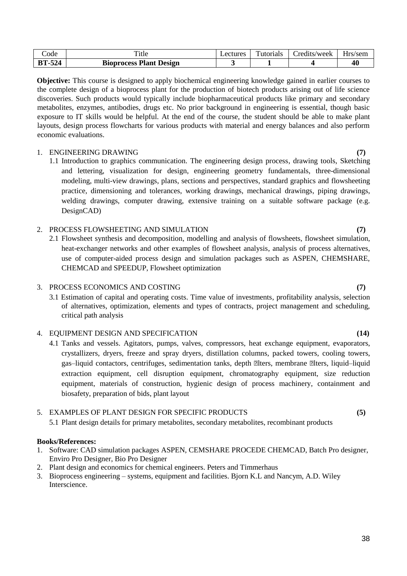| code         | 1tle                           | Lectures. | $\mathbf{r}$<br>Futorials | redits/week_ | Hrs/sem |
|--------------|--------------------------------|-----------|---------------------------|--------------|---------|
| $-524$<br>BT | <b>Bioprocess Plant Design</b> |           |                           |              | 40      |

**Objective:** This course is designed to apply biochemical engineering knowledge gained in earlier courses to the complete design of a bioprocess plant for the production of biotech products arising out of life science discoveries. Such products would typically include biopharmaceutical products like primary and secondary metabolites, enzymes, antibodies, drugs etc. No prior background in engineering is essential, though basic exposure to IT skills would be helpful. At the end of the course, the student should be able to make plant layouts, design process flowcharts for various products with material and energy balances and also perform economic evaluations.

### 1. ENGINEERING DRAWING **(7)**

1.1 Introduction to graphics communication. The engineering design process, drawing tools, Sketching and lettering, visualization for design, engineering geometry fundamentals, three-dimensional modeling, multi-view drawings, plans, sections and perspectives, standard graphics and flowsheeting practice, dimensioning and tolerances, working drawings, mechanical drawings, piping drawings, welding drawings, computer drawing, extensive training on a suitable software package (e.g. DesignCAD)

# 2. PROCESS FLOWSHEETING AND SIMULATION **(7)**

2.1 Flowsheet synthesis and decomposition, modelling and analysis of flowsheets, flowsheet simulation, heat-exchanger networks and other examples of flowsheet analysis, analysis of process alternatives, use of computer-aided process design and simulation packages such as ASPEN, CHEMSHARE, CHEMCAD and SPEEDUP, Flowsheet optimization

### 3. PROCESS ECONOMICS AND COSTING **(7)**

3.1 Estimation of capital and operating costs. Time value of investments, profitability analysis, selection of alternatives, optimization, elements and types of contracts, project management and scheduling, critical path analysis

# 4. EQUIPMENT DESIGN AND SPECIFICATION **(14)**

4.1 Tanks and vessels. Agitators, pumps, valves, compressors, heat exchange equipment, evaporators, crystallizers, dryers, freeze and spray dryers, distillation columns, packed towers, cooling towers, gas–liquid contactors, centrifuges, sedimentation tanks, depth Žlters, membrane Žlters, liquid–liquid extraction equipment, cell disruption equipment, chromatography equipment, size reduction equipment, materials of construction, hygienic design of process machinery, containment and biosafety, preparation of bids, plant layout

# 5. EXAMPLES OF PLANT DESIGN FOR SPECIFIC PRODUCTS **(5)**

5.1 Plant design details for primary metabolites, secondary metabolites, recombinant products

- 1. Software: CAD simulation packages ASPEN, CEMSHARE PROCEDE CHEMCAD, Batch Pro designer, Enviro Pro Designer, Bio Pro Designer
- 2. Plant design and economics for chemical engineers. Peters and Timmerhaus
- 3. Bioprocess engineering systems, equipment and facilities. Bjorn K.L and Nancym, A.D. Wiley **Interscience**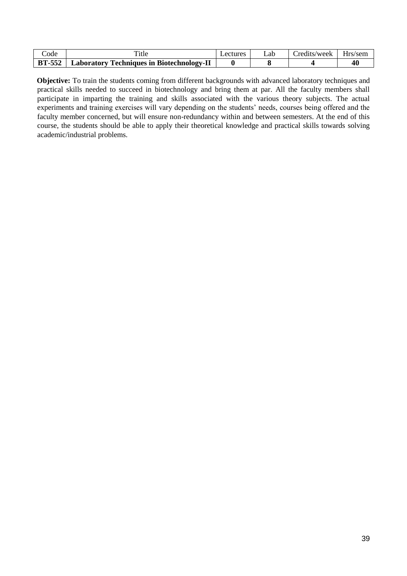| Code          | Title                                            | Lectures | _ab | redits/week_ | Hrs/sem |
|---------------|--------------------------------------------------|----------|-----|--------------|---------|
| <b>BT-552</b> | <b>Laboratory Techniques in Biotechnology-II</b> |          |     |              | 40      |

**Objective:** To train the students coming from different backgrounds with advanced laboratory techniques and practical skills needed to succeed in biotechnology and bring them at par. All the faculty members shall participate in imparting the training and skills associated with the various theory subjects. The actual experiments and training exercises will vary depending on the students' needs, courses being offered and the faculty member concerned, but will ensure non-redundancy within and between semesters. At the end of this course, the students should be able to apply their theoretical knowledge and practical skills towards solving academic/industrial problems.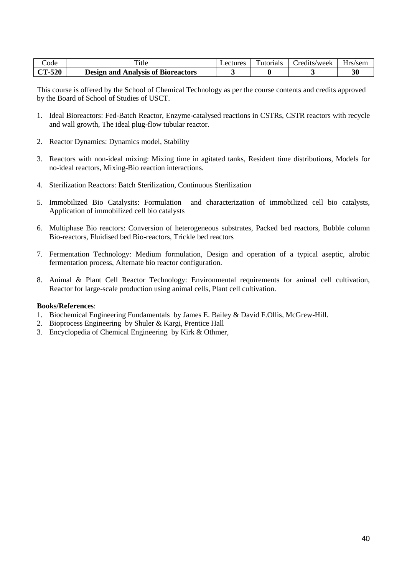| Code          | Title                                     | <i>L</i> ectures | Tutorials | redits/week_ | Hrs/sem |
|---------------|-------------------------------------------|------------------|-----------|--------------|---------|
| <b>CT-520</b> | <b>Design and Analysis of Bioreactors</b> |                  |           |              | 30      |

This course is offered by the School of Chemical Technology as per the course contents and credits approved by the Board of School of Studies of USCT.

- 1. Ideal Bioreactors: Fed-Batch Reactor, Enzyme-catalysed reactions in CSTRs, CSTR reactors with recycle and wall growth, The ideal plug-flow tubular reactor.
- 2. Reactor Dynamics: Dynamics model, Stability
- 3. Reactors with non-ideal mixing: Mixing time in agitated tanks, Resident time distributions, Models for no-ideal reactors, Mixing-Bio reaction interactions.
- 4. Sterilization Reactors: Batch Sterilization, Continuous Sterilization
- 5. Immobilized Bio Catalysits: Formulation and characterization of immobilized cell bio catalysts, Application of immobilized cell bio catalysts
- 6. Multiphase Bio reactors: Conversion of heterogeneous substrates, Packed bed reactors, Bubble column Bio-reactors, Fluidised bed Bio-reactors, Trickle bed reactors
- 7. Fermentation Technology: Medium formulation, Design and operation of a typical aseptic, alrobic fermentation process, Alternate bio reactor configuration.
- 8. Animal & Plant Cell Reactor Technology: Environmental requirements for animal cell cultivation, Reactor for large-scale production using animal cells, Plant cell cultivation.

- 1. Biochemical Engineering Fundamentals by James E. Bailey & David F.Ollis, McGrew-Hill.
- 2. Bioprocess Engineering by Shuler & Kargi, Prentice Hall
- 3. Encyclopedia of Chemical Engineering by Kirk & Othmer,